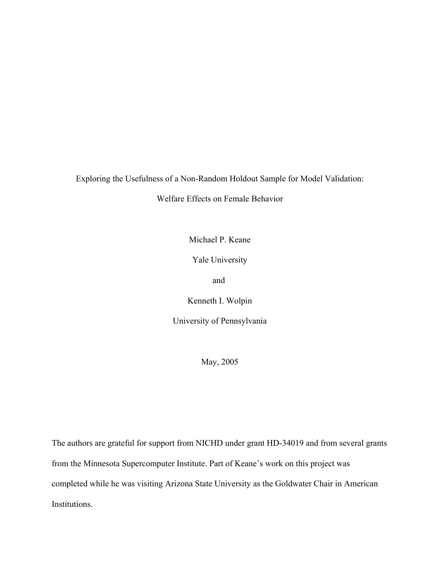Exploring the Usefulness of a Non-Random Holdout Sample for Model Validation:

Welfare Effects on Female Behavior

Michael P. Keane

Yale University

and

Kenneth I. Wolpin

University of Pennsylvania

May, 2005

The authors are grateful for support from NICHD under grant HD-34019 and from several grants from the Minnesota Supercomputer Institute. Part of Keane's work on this project was completed while he was visiting Arizona State University as the Goldwater Chair in American Institutions.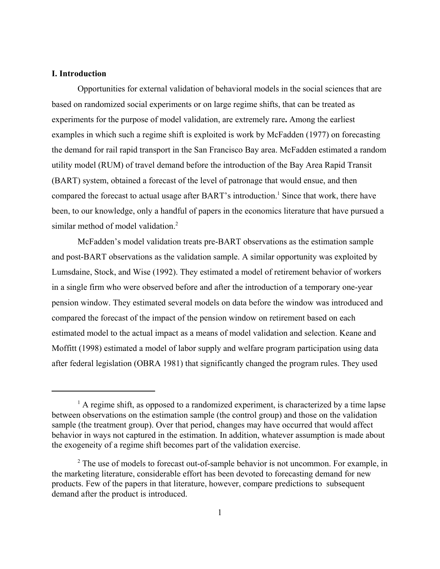#### **I. Introduction**

Opportunities for external validation of behavioral models in the social sciences that are based on randomized social experiments or on large regime shifts, that can be treated as experiments for the purpose of model validation, are extremely rare**.** Among the earliest examples in which such a regime shift is exploited is work by McFadden (1977) on forecasting the demand for rail rapid transport in the San Francisco Bay area. McFadden estimated a random utility model (RUM) of travel demand before the introduction of the Bay Area Rapid Transit (BART) system, obtained a forecast of the level of patronage that would ensue, and then compared the forecast to actual usage after BART's introduction.<sup>1</sup> Since that work, there have been, to our knowledge, only a handful of papers in the economics literature that have pursued a similar method of model validation.<sup>2</sup>

McFadden's model validation treats pre-BART observations as the estimation sample and post-BART observations as the validation sample. A similar opportunity was exploited by Lumsdaine, Stock, and Wise (1992). They estimated a model of retirement behavior of workers in a single firm who were observed before and after the introduction of a temporary one-year pension window. They estimated several models on data before the window was introduced and compared the forecast of the impact of the pension window on retirement based on each estimated model to the actual impact as a means of model validation and selection. Keane and Moffitt (1998) estimated a model of labor supply and welfare program participation using data after federal legislation (OBRA 1981) that significantly changed the program rules. They used

<sup>&</sup>lt;sup>1</sup> A regime shift, as opposed to a randomized experiment, is characterized by a time lapse between observations on the estimation sample (the control group) and those on the validation sample (the treatment group). Over that period, changes may have occurred that would affect behavior in ways not captured in the estimation. In addition, whatever assumption is made about the exogeneity of a regime shift becomes part of the validation exercise.

<sup>&</sup>lt;sup>2</sup> The use of models to forecast out-of-sample behavior is not uncommon. For example, in the marketing literature, considerable effort has been devoted to forecasting demand for new products. Few of the papers in that literature, however, compare predictions to subsequent demand after the product is introduced.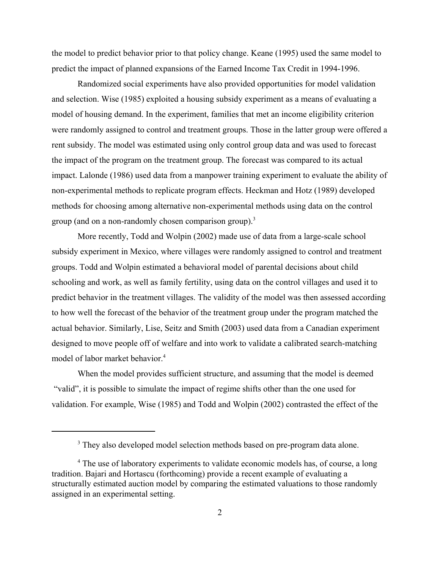the model to predict behavior prior to that policy change. Keane (1995) used the same model to predict the impact of planned expansions of the Earned Income Tax Credit in 1994-1996.

 Randomized social experiments have also provided opportunities for model validation and selection. Wise (1985) exploited a housing subsidy experiment as a means of evaluating a model of housing demand. In the experiment, families that met an income eligibility criterion were randomly assigned to control and treatment groups. Those in the latter group were offered a rent subsidy. The model was estimated using only control group data and was used to forecast the impact of the program on the treatment group. The forecast was compared to its actual impact. Lalonde (1986) used data from a manpower training experiment to evaluate the ability of non-experimental methods to replicate program effects. Heckman and Hotz (1989) developed methods for choosing among alternative non-experimental methods using data on the control group (and on a non-randomly chosen comparison group).<sup>3</sup>

More recently, Todd and Wolpin (2002) made use of data from a large-scale school subsidy experiment in Mexico, where villages were randomly assigned to control and treatment groups. Todd and Wolpin estimated a behavioral model of parental decisions about child schooling and work, as well as family fertility, using data on the control villages and used it to predict behavior in the treatment villages. The validity of the model was then assessed according to how well the forecast of the behavior of the treatment group under the program matched the actual behavior. Similarly, Lise, Seitz and Smith (2003) used data from a Canadian experiment designed to move people off of welfare and into work to validate a calibrated search-matching model of labor market behavior.<sup>4</sup>

When the model provides sufficient structure, and assuming that the model is deemed "valid", it is possible to simulate the impact of regime shifts other than the one used for validation. For example, Wise (1985) and Todd and Wolpin (2002) contrasted the effect of the

<sup>&</sup>lt;sup>3</sup> They also developed model selection methods based on pre-program data alone.

<sup>&</sup>lt;sup>4</sup> The use of laboratory experiments to validate economic models has, of course, a long tradition. Bajari and Hortascu (forthcoming) provide a recent example of evaluating a structurally estimated auction model by comparing the estimated valuations to those randomly assigned in an experimental setting.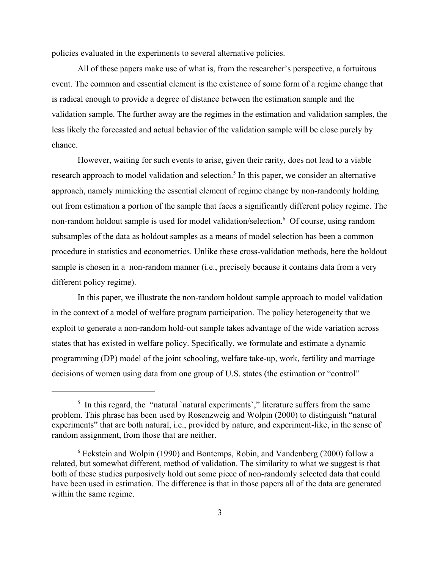policies evaluated in the experiments to several alternative policies.

 All of these papers make use of what is, from the researcher's perspective, a fortuitous event. The common and essential element is the existence of some form of a regime change that is radical enough to provide a degree of distance between the estimation sample and the validation sample. The further away are the regimes in the estimation and validation samples, the less likely the forecasted and actual behavior of the validation sample will be close purely by chance.

However, waiting for such events to arise, given their rarity, does not lead to a viable research approach to model validation and selection.<sup>5</sup> In this paper, we consider an alternative approach, namely mimicking the essential element of regime change by non-randomly holding out from estimation a portion of the sample that faces a significantly different policy regime. The non-random holdout sample is used for model validation/selection.<sup>6</sup> Of course, using random subsamples of the data as holdout samples as a means of model selection has been a common procedure in statistics and econometrics. Unlike these cross-validation methods, here the holdout sample is chosen in a non-random manner (i.e., precisely because it contains data from a very different policy regime).

In this paper, we illustrate the non-random holdout sample approach to model validation in the context of a model of welfare program participation. The policy heterogeneity that we exploit to generate a non-random hold-out sample takes advantage of the wide variation across states that has existed in welfare policy. Specifically, we formulate and estimate a dynamic programming (DP) model of the joint schooling, welfare take-up, work, fertility and marriage decisions of women using data from one group of U.S. states (the estimation or "control"

<sup>&</sup>lt;sup>5</sup> In this regard, the "natural `natural experiments`," literature suffers from the same problem. This phrase has been used by Rosenzweig and Wolpin (2000) to distinguish "natural experiments" that are both natural, i.e., provided by nature, and experiment-like, in the sense of random assignment, from those that are neither.

<sup>6</sup> Eckstein and Wolpin (1990) and Bontemps, Robin, and Vandenberg (2000) follow a related, but somewhat different, method of validation. The similarity to what we suggest is that both of these studies purposively hold out some piece of non-randomly selected data that could have been used in estimation. The difference is that in those papers all of the data are generated within the same regime.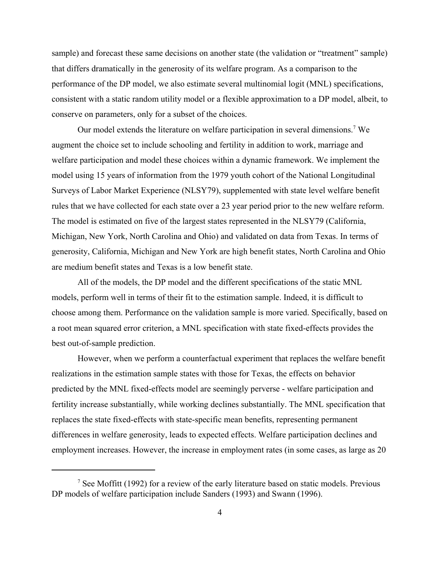sample) and forecast these same decisions on another state (the validation or "treatment" sample) that differs dramatically in the generosity of its welfare program. As a comparison to the performance of the DP model, we also estimate several multinomial logit (MNL) specifications, consistent with a static random utility model or a flexible approximation to a DP model, albeit, to conserve on parameters, only for a subset of the choices.

Our model extends the literature on welfare participation in several dimensions.<sup>7</sup> We augment the choice set to include schooling and fertility in addition to work, marriage and welfare participation and model these choices within a dynamic framework. We implement the model using 15 years of information from the 1979 youth cohort of the National Longitudinal Surveys of Labor Market Experience (NLSY79), supplemented with state level welfare benefit rules that we have collected for each state over a 23 year period prior to the new welfare reform. The model is estimated on five of the largest states represented in the NLSY79 (California, Michigan, New York, North Carolina and Ohio) and validated on data from Texas. In terms of generosity, California, Michigan and New York are high benefit states, North Carolina and Ohio are medium benefit states and Texas is a low benefit state.

All of the models, the DP model and the different specifications of the static MNL models, perform well in terms of their fit to the estimation sample. Indeed, it is difficult to choose among them. Performance on the validation sample is more varied. Specifically, based on a root mean squared error criterion, a MNL specification with state fixed-effects provides the best out-of-sample prediction.

However, when we perform a counterfactual experiment that replaces the welfare benefit realizations in the estimation sample states with those for Texas, the effects on behavior predicted by the MNL fixed-effects model are seemingly perverse - welfare participation and fertility increase substantially, while working declines substantially. The MNL specification that replaces the state fixed-effects with state-specific mean benefits, representing permanent differences in welfare generosity, leads to expected effects. Welfare participation declines and employment increases. However, the increase in employment rates (in some cases, as large as 20

<sup>&</sup>lt;sup>7</sup> See Moffitt (1992) for a review of the early literature based on static models. Previous DP models of welfare participation include Sanders (1993) and Swann (1996).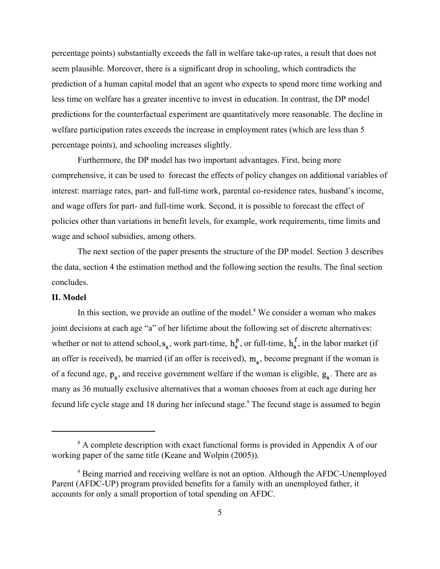percentage points) substantially exceeds the fall in welfare take-up rates, a result that does not seem plausible. Moreover, there is a significant drop in schooling, which contradicts the prediction of a human capital model that an agent who expects to spend more time working and less time on welfare has a greater incentive to invest in education. In contrast, the DP model predictions for the counterfactual experiment are quantitatively more reasonable. The decline in welfare participation rates exceeds the increase in employment rates (which are less than 5 percentage points), and schooling increases slightly.

Furthermore, the DP model has two important advantages. First, being more comprehensive, it can be used to forecast the effects of policy changes on additional variables of interest: marriage rates, part- and full-time work, parental co-residence rates, husband's income, and wage offers for part- and full-time work. Second, it is possible to forecast the effect of policies other than variations in benefit levels, for example, work requirements, time limits and wage and school subsidies, among others.

The next section of the paper presents the structure of the DP model. Section 3 describes the data, section 4 the estimation method and the following section the results. The final section concludes.

### **II. Model**

In this section, we provide an outline of the model.<sup>8</sup> We consider a woman who makes joint decisions at each age "a" of her lifetime about the following set of discrete alternatives: whether or not to attend school,  $s_a$ , work part-time,  $h_a^p$ , or full-time,  $h_a^f$ , in the labor market (if an offer is received), be married (if an offer is received),  $m_a$ , become pregnant if the woman is of a fecund age,  $p_a$ , and receive government welfare if the woman is eligible,  $g_a$ . There are as many as 36 mutually exclusive alternatives that a woman chooses from at each age during her fecund life cycle stage and 18 during her infecund stage.<sup>9</sup> The fecund stage is assumed to begin

<sup>&</sup>lt;sup>8</sup> A complete description with exact functional forms is provided in Appendix A of our working paper of the same title (Keane and Wolpin (2005)).

<sup>&</sup>lt;sup>9</sup> Being married and receiving welfare is not an option. Although the AFDC-Unemployed Parent (AFDC-UP) program provided benefits for a family with an unemployed father, it accounts for only a small proportion of total spending on AFDC.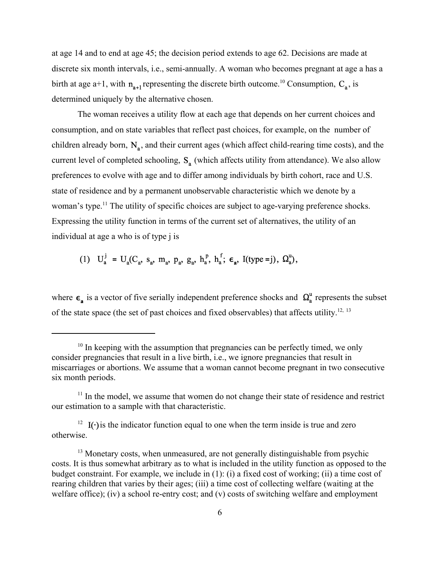at age 14 and to end at age 45; the decision period extends to age 62. Decisions are made at discrete six month intervals, i.e., semi-annually. A woman who becomes pregnant at age a has a birth at age a+1, with  $\mathbf{n}_{\mathbf{a}+1}$  representing the discrete birth outcome.<sup>10</sup> Consumption,  $\mathbf{C}_{\mathbf{a}}$ , is determined uniquely by the alternative chosen.

The woman receives a utility flow at each age that depends on her current choices and consumption, and on state variables that reflect past choices, for example, on the number of children already born,  $N_a$ , and their current ages (which affect child-rearing time costs), and the current level of completed schooling,  $S_a$  (which affects utility from attendance). We also allow preferences to evolve with age and to differ among individuals by birth cohort, race and U.S. state of residence and by a permanent unobservable characteristic which we denote by a woman's type.<sup>11</sup> The utility of specific choices are subject to age-varying preference shocks. Expressing the utility function in terms of the current set of alternatives, the utility of an individual at age a who is of type j is

# (1)  $U_a^j = U_a(C_a, s_a, m_a, p_a, g_a, h_a^p, h_a^f; \epsilon_a, I(type=j), \Omega_a^u),$

where  $\epsilon_a$  is a vector of five serially independent preference shocks and  $\Omega_a^u$  represents the subset of the state space (the set of past choices and fixed observables) that affects utility.<sup>12, 13</sup>

 $10<sup>10</sup>$  In keeping with the assumption that pregnancies can be perfectly timed, we only consider pregnancies that result in a live birth, i.e., we ignore pregnancies that result in miscarriages or abortions. We assume that a woman cannot become pregnant in two consecutive six month periods.

 $11$  In the model, we assume that women do not change their state of residence and restrict our estimation to a sample with that characteristic.

<sup>&</sup>lt;sup>12</sup> I( $\cdot$ ) is the indicator function equal to one when the term inside is true and zero otherwise.

<sup>&</sup>lt;sup>13</sup> Monetary costs, when unmeasured, are not generally distinguishable from psychic costs. It is thus somewhat arbitrary as to what is included in the utility function as opposed to the budget constraint. For example, we include in (1): (i) a fixed cost of working; (ii) a time cost of rearing children that varies by their ages; (iii) a time cost of collecting welfare (waiting at the welfare office); (iv) a school re-entry cost; and (v) costs of switching welfare and employment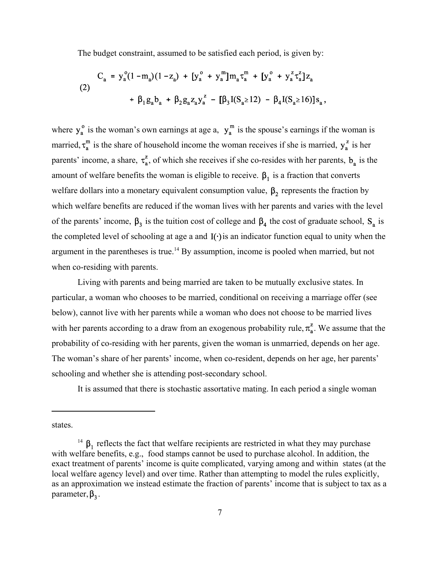The budget constraint, assumed to be satisfied each period, is given by:

$$
C_a = y_a^o (1 - m_a) (1 - z_a) + [y_a^o + y_a^m] m_a \tau_a^m + [y_a^o + y_a^z \tau_a^z] z_a
$$
  
(2)  

$$
+ \beta_1 g_a b_a + \beta_2 g_a z_a y_a^z - [\beta_3 I(S_a \ge 12) - \beta_4 I(S_a \ge 16)] s_a,
$$

where  $y_a^o$  is the woman's own earnings at age a,  $y_a^m$  is the spouse's earnings if the woman is married,  $\tau_a^m$  is the share of household income the woman receives if she is married,  $y_a^z$  is her parents' income, a share,  $\tau_a^z$ , of which she receives if she co-resides with her parents,  $b_a$  is the amount of welfare benefits the woman is eligible to receive.  $\beta_1$  is a fraction that converts welfare dollars into a monetary equivalent consumption value,  $\beta_2$  represents the fraction by which welfare benefits are reduced if the woman lives with her parents and varies with the level of the parents' income,  $\beta_3$  is the tuition cost of college and  $\beta_4$  the cost of graduate school,  $S_a$  is the completed level of schooling at age a and  $I(\cdot)$  is an indicator function equal to unity when the argument in the parentheses is true.<sup>14</sup> By assumption, income is pooled when married, but not when co-residing with parents.

Living with parents and being married are taken to be mutually exclusive states. In particular, a woman who chooses to be married, conditional on receiving a marriage offer (see below), cannot live with her parents while a woman who does not choose to be married lives with her parents according to a draw from an exogenous probability rule,  $\pi_a^z$ . We assume that the probability of co-residing with her parents, given the woman is unmarried, depends on her age. The woman's share of her parents' income, when co-resident, depends on her age, her parents' schooling and whether she is attending post-secondary school.

It is assumed that there is stochastic assortative mating. In each period a single woman

states.

<sup>&</sup>lt;sup>14</sup>  $\beta_1$  reflects the fact that welfare recipients are restricted in what they may purchase with welfare benefits, e.g., food stamps cannot be used to purchase alcohol. In addition, the exact treatment of parents' income is quite complicated, varying among and within states (at the local welfare agency level) and over time. Rather than attempting to model the rules explicitly, as an approximation we instead estimate the fraction of parents' income that is subject to tax as a parameter,  $\beta_3$ .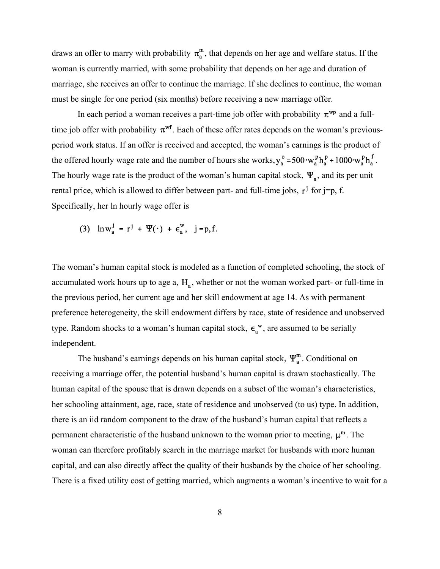draws an offer to marry with probability  $\pi_a^m$ , that depends on her age and welfare status. If the woman is currently married, with some probability that depends on her age and duration of marriage, she receives an offer to continue the marriage. If she declines to continue, the woman must be single for one period (six months) before receiving a new marriage offer.

In each period a woman receives a part-time job offer with probability  $\pi^{wp}$  and a fulltime job offer with probability  $\pi^{\mathbf{wf}}$ . Each of these offer rates depends on the woman's previousperiod work status. If an offer is received and accepted, the woman's earnings is the product of the offered hourly wage rate and the number of hours she works,  $y_a^o = 500 \cdot w_a^p h_a^p + 1000 \cdot w_a^p h_a^f$ . The hourly wage rate is the product of the woman's human capital stock,  $\Psi_{\rm a}$ , and its per unit rental price, which is allowed to differ between part- and full-time jobs,  $\mathbf{r}^j$  for j=p, f. Specifically, her ln hourly wage offer is

$$
(3) \quad \ln w_a^j = r^j + \Psi(\cdot) + \varepsilon_a^w, \quad j = p, f.
$$

The woman's human capital stock is modeled as a function of completed schooling, the stock of accumulated work hours up to age a,  $H_a$ , whether or not the woman worked part- or full-time in the previous period, her current age and her skill endowment at age 14. As with permanent preference heterogeneity, the skill endowment differs by race, state of residence and unobserved type. Random shocks to a woman's human capital stock,  $\epsilon_a^w$ , are assumed to be serially independent.

The husband's earnings depends on his human capital stock,  $\Psi_n^m$ . Conditional on receiving a marriage offer, the potential husband's human capital is drawn stochastically. The human capital of the spouse that is drawn depends on a subset of the woman's characteristics, her schooling attainment, age, race, state of residence and unobserved (to us) type. In addition, there is an iid random component to the draw of the husband's human capital that reflects a permanent characteristic of the husband unknown to the woman prior to meeting,  $\mu^m$ . The woman can therefore profitably search in the marriage market for husbands with more human capital, and can also directly affect the quality of their husbands by the choice of her schooling. There is a fixed utility cost of getting married, which augments a woman's incentive to wait for a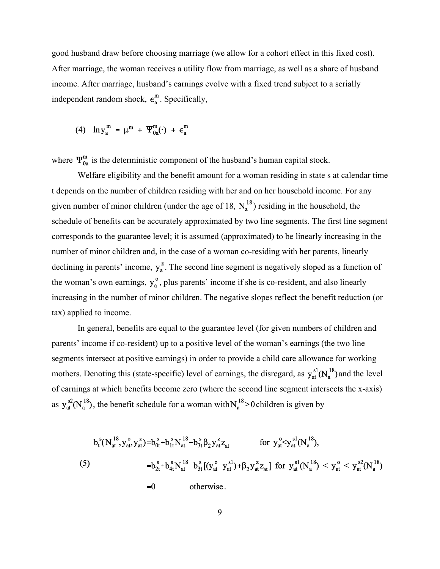good husband draw before choosing marriage (we allow for a cohort effect in this fixed cost). After marriage, the woman receives a utility flow from marriage, as well as a share of husband income. After marriage, husband's earnings evolve with a fixed trend subject to a serially independent random shock,  $\epsilon_a^m$ . Specifically,

## (4)  $\ln y_a^m = \mu^m + \Psi_{0a}^m(\cdot) + \epsilon_a^m$

where  $\Psi_{0a}^{m}$  is the deterministic component of the husband's human capital stock.

Welfare eligibility and the benefit amount for a woman residing in state s at calendar time t depends on the number of children residing with her and on her household income. For any given number of minor children (under the age of 18,  $N_a^{18}$ ) residing in the household, the schedule of benefits can be accurately approximated by two line segments. The first line segment corresponds to the guarantee level; it is assumed (approximated) to be linearly increasing in the number of minor children and, in the case of a woman co-residing with her parents, linearly declining in parents' income,  $y_a^z$ . The second line segment is negatively sloped as a function of the woman's own earnings,  $y_a^o$ , plus parents' income if she is co-resident, and also linearly increasing in the number of minor children. The negative slopes reflect the benefit reduction (or tax) applied to income.

In general, benefits are equal to the guarantee level (for given numbers of children and parents' income if co-resident) up to a positive level of the woman's earnings (the two line segments intersect at positive earnings) in order to provide a child care allowance for working mothers. Denoting this (state-specific) level of earnings, the disregard, as  $y_{at}^{sl}(N_a^{18})$  and the level of earnings at which benefits become zero (where the second line segment intersects the x-axis) as  $y_{at}^{s2}(N_a^{18})$ , the benefit schedule for a woman with  $N_a^{18} > 0$  children is given by

$$
b_t^s(N_{at}^{18}, y_{at}^o, y_{at}^z) = b_{0t}^s + b_{1t}^s N_{at}^{18} - b_{3t}^s \beta_2 y_{at}^z z_{at} \qquad \text{for } y_{at}^o < y_{at}^{s1} (N_a^{18}),
$$
\n
$$
= b_{2t}^s + b_{4t}^s N_{at}^{18} - b_{3t}^s [(y_{at}^o - y_{at}^{s1}) + \beta_2 y_{at}^z z_{at}] \text{ for } y_{at}^{s1} (N_a^{18}) < y_{at}^o < y_{at}^{s2} (N_a^{18})
$$
\n
$$
= 0 \qquad \text{otherwise.}
$$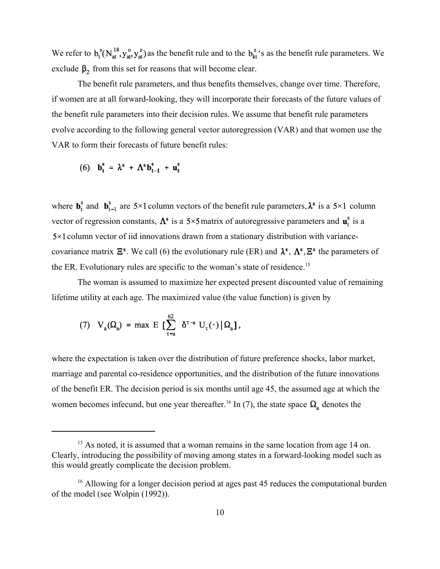We refer to  $b_t^s(N_{at}^{18}, y_{at}^o)$  as the benefit rule and to the  $b_{tt}^s$ 's as the benefit rule parameters. We exclude  $\beta_2$  from this set for reasons that will become clear.

The benefit rule parameters, and thus benefits themselves, change over time. Therefore, if women are at all forward-looking, they will incorporate their forecasts of the future values of the benefit rule parameters into their decision rules. We assume that benefit rule parameters evolve according to the following general vector autoregression (VAR) and that women use the VAR to form their forecasts of future benefit rules:

(6) 
$$
\mathbf{b}_t^s = \lambda^s + \Lambda^s \mathbf{b}_{t-1}^s + \mathbf{u}_t^s
$$

where  $\mathbf{b}_t^s$  and  $\mathbf{b}_{t-1}^s$  are 5×1 column vectors of the benefit rule parameters,  $\lambda^s$  is a 5×1 column vector of regression constants,  $\Lambda^s$  is a 5×5 matrix of autoregressive parameters and  $\mathbf{u}_t^s$  is a  $5 \times 1$  column vector of iid innovations drawn from a stationary distribution with variancecovariance matrix  $\mathbf{E}^s$ . We call (6) the evolutionary rule (ER) and  $\lambda^s$ ,  $\Lambda^s$ ,  $\mathbf{E}^s$  the parameters of the ER. Evolutionary rules are specific to the woman's state of residence.<sup>15</sup>

The woman is assumed to maximize her expected present discounted value of remaining lifetime utility at each age. The maximized value (the value function) is given by

(7) 
$$
V_a(\Omega_a) = \max E \left[ \sum_{\tau=a}^{62} \delta^{\tau-a} U_{\tau}(\cdot) | \Omega_a \right],
$$

where the expectation is taken over the distribution of future preference shocks, labor market, marriage and parental co-residence opportunities, and the distribution of the future innovations of the benefit ER. The decision period is six months until age 45, the assumed age at which the women becomes infecund, but one year thereafter.<sup>16</sup> In (7), the state space  $\Omega_a$  denotes the

<sup>&</sup>lt;sup>15</sup> As noted, it is assumed that a woman remains in the same location from age 14 on. Clearly, introducing the possibility of moving among states in a forward-looking model such as this would greatly complicate the decision problem.

<sup>&</sup>lt;sup>16</sup> Allowing for a longer decision period at ages past 45 reduces the computational burden of the model (see Wolpin (1992)).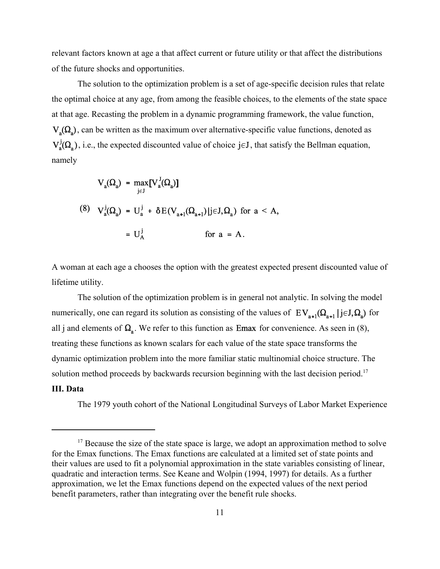relevant factors known at age a that affect current or future utility or that affect the distributions of the future shocks and opportunities.

The solution to the optimization problem is a set of age-specific decision rules that relate the optimal choice at any age, from among the feasible choices, to the elements of the state space at that age. Recasting the problem in a dynamic programming framework, the value function,  $V_{\alpha}(\Omega_{s})$ , can be written as the maximum over alternative-specific value functions, denoted as  $V_a^j(\Omega_a)$ , i.e., the expected discounted value of choice jeJ, that satisfy the Bellman equation, namely

$$
V_a(\Omega_a) = \max_{j \in J} [V_a^J(\Omega_a)]
$$
  
(8) 
$$
V_a^j(\Omega_a) = U_a^j + \delta E(V_{a+1}(\Omega_{a+1})|j \in J, \Omega_a) \text{ for } a < A,
$$

$$
= U_A^j \qquad \text{for } a = A.
$$

A woman at each age a chooses the option with the greatest expected present discounted value of lifetime utility.

The solution of the optimization problem is in general not analytic. In solving the model numerically, one can regard its solution as consisting of the values of  $EV_{n+1}(\Omega_{n+1} | j \in J, \Omega_n)$  for all j and elements of  $\Omega$ <sub>a</sub>. We refer to this function as **Emax** for convenience. As seen in (8), treating these functions as known scalars for each value of the state space transforms the dynamic optimization problem into the more familiar static multinomial choice structure. The solution method proceeds by backwards recursion beginning with the last decision period.<sup>17</sup>

#### **III. Data**

The 1979 youth cohort of the National Longitudinal Surveys of Labor Market Experience

 $17$  Because the size of the state space is large, we adopt an approximation method to solve for the Emax functions. The Emax functions are calculated at a limited set of state points and their values are used to fit a polynomial approximation in the state variables consisting of linear, quadratic and interaction terms. See Keane and Wolpin (1994, 1997) for details. As a further approximation, we let the Emax functions depend on the expected values of the next period benefit parameters, rather than integrating over the benefit rule shocks.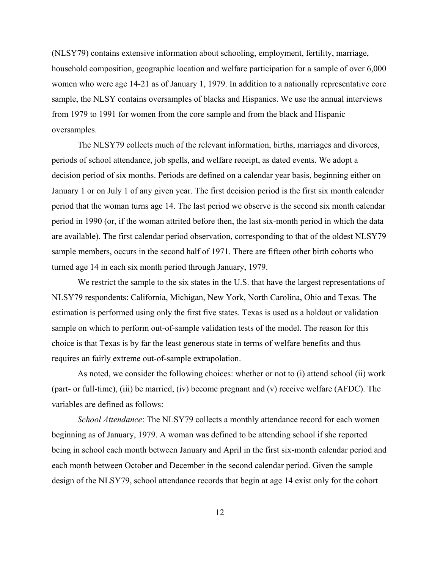(NLSY79) contains extensive information about schooling, employment, fertility, marriage, household composition, geographic location and welfare participation for a sample of over 6,000 women who were age 14-21 as of January 1, 1979. In addition to a nationally representative core sample, the NLSY contains oversamples of blacks and Hispanics. We use the annual interviews from 1979 to 1991 for women from the core sample and from the black and Hispanic oversamples.

The NLSY79 collects much of the relevant information, births, marriages and divorces, periods of school attendance, job spells, and welfare receipt, as dated events. We adopt a decision period of six months. Periods are defined on a calendar year basis, beginning either on January 1 or on July 1 of any given year. The first decision period is the first six month calender period that the woman turns age 14. The last period we observe is the second six month calendar period in 1990 (or, if the woman attrited before then, the last six-month period in which the data are available). The first calendar period observation, corresponding to that of the oldest NLSY79 sample members, occurs in the second half of 1971. There are fifteen other birth cohorts who turned age 14 in each six month period through January, 1979.

We restrict the sample to the six states in the U.S. that have the largest representations of NLSY79 respondents: California, Michigan, New York, North Carolina, Ohio and Texas. The estimation is performed using only the first five states. Texas is used as a holdout or validation sample on which to perform out-of-sample validation tests of the model. The reason for this choice is that Texas is by far the least generous state in terms of welfare benefits and thus requires an fairly extreme out-of-sample extrapolation.

As noted, we consider the following choices: whether or not to (i) attend school (ii) work (part- or full-time), (iii) be married, (iv) become pregnant and (v) receive welfare (AFDC). The variables are defined as follows:

*School Attendance*: The NLSY79 collects a monthly attendance record for each women beginning as of January, 1979. A woman was defined to be attending school if she reported being in school each month between January and April in the first six-month calendar period and each month between October and December in the second calendar period. Given the sample design of the NLSY79, school attendance records that begin at age 14 exist only for the cohort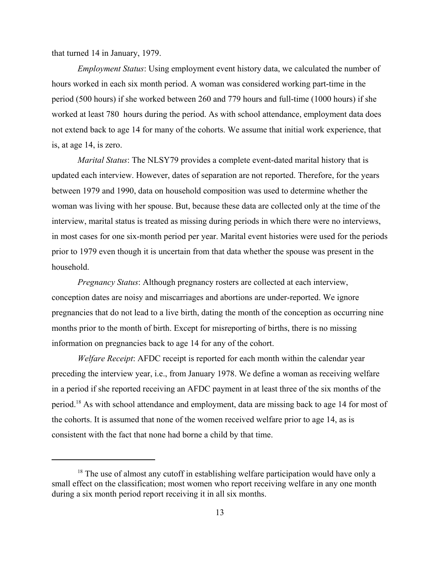that turned 14 in January, 1979.

*Employment Status*: Using employment event history data, we calculated the number of hours worked in each six month period. A woman was considered working part-time in the period (500 hours) if she worked between 260 and 779 hours and full-time (1000 hours) if she worked at least 780 hours during the period. As with school attendance, employment data does not extend back to age 14 for many of the cohorts. We assume that initial work experience, that is, at age 14, is zero.

*Marital Status*: The NLSY79 provides a complete event-dated marital history that is updated each interview. However, dates of separation are not reported. Therefore, for the years between 1979 and 1990, data on household composition was used to determine whether the woman was living with her spouse. But, because these data are collected only at the time of the interview, marital status is treated as missing during periods in which there were no interviews, in most cases for one six-month period per year. Marital event histories were used for the periods prior to 1979 even though it is uncertain from that data whether the spouse was present in the household.

*Pregnancy Status*: Although pregnancy rosters are collected at each interview, conception dates are noisy and miscarriages and abortions are under-reported. We ignore pregnancies that do not lead to a live birth, dating the month of the conception as occurring nine months prior to the month of birth. Except for misreporting of births, there is no missing information on pregnancies back to age 14 for any of the cohort.

*Welfare Receipt*: AFDC receipt is reported for each month within the calendar year preceding the interview year, i.e., from January 1978. We define a woman as receiving welfare in a period if she reported receiving an AFDC payment in at least three of the six months of the period.18 As with school attendance and employment, data are missing back to age 14 for most of the cohorts. It is assumed that none of the women received welfare prior to age 14, as is consistent with the fact that none had borne a child by that time.

 $18$  The use of almost any cutoff in establishing welfare participation would have only a small effect on the classification; most women who report receiving welfare in any one month during a six month period report receiving it in all six months.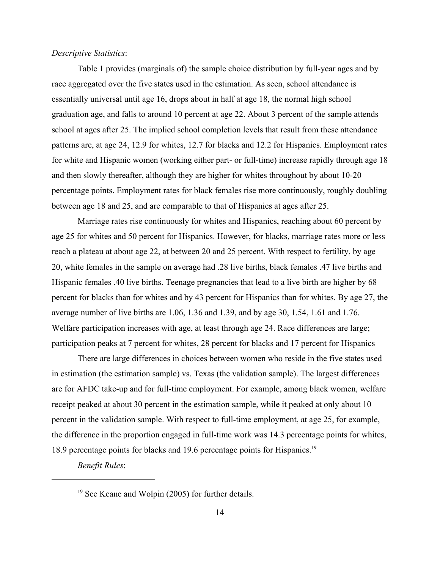#### *Descriptive Statistics*:

Table 1 provides (marginals of) the sample choice distribution by full-year ages and by race aggregated over the five states used in the estimation. As seen, school attendance is essentially universal until age 16, drops about in half at age 18, the normal high school graduation age, and falls to around 10 percent at age 22. About 3 percent of the sample attends school at ages after 25. The implied school completion levels that result from these attendance patterns are, at age 24, 12.9 for whites, 12.7 for blacks and 12.2 for Hispanics. Employment rates for white and Hispanic women (working either part- or full-time) increase rapidly through age 18 and then slowly thereafter, although they are higher for whites throughout by about 10-20 percentage points. Employment rates for black females rise more continuously, roughly doubling between age 18 and 25, and are comparable to that of Hispanics at ages after 25.

Marriage rates rise continuously for whites and Hispanics, reaching about 60 percent by age 25 for whites and 50 percent for Hispanics. However, for blacks, marriage rates more or less reach a plateau at about age 22, at between 20 and 25 percent. With respect to fertility, by age 20, white females in the sample on average had .28 live births, black females .47 live births and Hispanic females .40 live births. Teenage pregnancies that lead to a live birth are higher by 68 percent for blacks than for whites and by 43 percent for Hispanics than for whites. By age 27, the average number of live births are 1.06, 1.36 and 1.39, and by age 30, 1.54, 1.61 and 1.76. Welfare participation increases with age, at least through age 24. Race differences are large; participation peaks at 7 percent for whites, 28 percent for blacks and 17 percent for Hispanics

There are large differences in choices between women who reside in the five states used in estimation (the estimation sample) vs. Texas (the validation sample). The largest differences are for AFDC take-up and for full-time employment. For example, among black women, welfare receipt peaked at about 30 percent in the estimation sample, while it peaked at only about 10 percent in the validation sample. With respect to full-time employment, at age 25, for example, the difference in the proportion engaged in full-time work was 14.3 percentage points for whites, 18.9 percentage points for blacks and 19.6 percentage points for Hispanics.<sup>19</sup>

*Benefit Rules*:

<sup>&</sup>lt;sup>19</sup> See Keane and Wolpin (2005) for further details.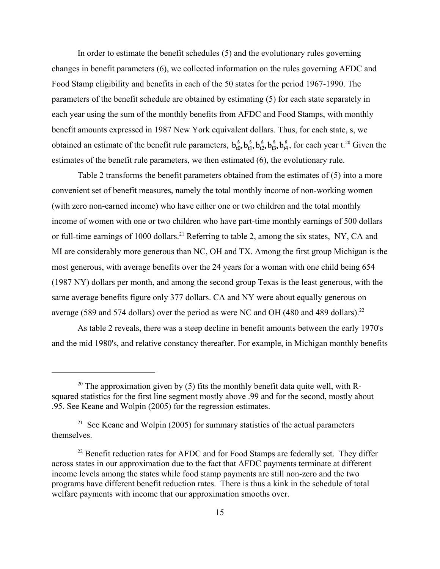In order to estimate the benefit schedules (5) and the evolutionary rules governing changes in benefit parameters (6), we collected information on the rules governing AFDC and Food Stamp eligibility and benefits in each of the 50 states for the period 1967-1990. The parameters of the benefit schedule are obtained by estimating (5) for each state separately in each year using the sum of the monthly benefits from AFDC and Food Stamps, with monthly benefit amounts expressed in 1987 New York equivalent dollars. Thus, for each state, s, we obtained an estimate of the benefit rule parameters,  $b_{n0}^s$ ,  $b_{n1}^s$ ,  $b_{n2}^s$ ,  $b_{n3}^s$ ,  $b_{n4}^s$ , for each year t.<sup>20</sup> Given the estimates of the benefit rule parameters, we then estimated (6), the evolutionary rule.

Table 2 transforms the benefit parameters obtained from the estimates of (5) into a more convenient set of benefit measures, namely the total monthly income of non-working women (with zero non-earned income) who have either one or two children and the total monthly income of women with one or two children who have part-time monthly earnings of 500 dollars or full-time earnings of 1000 dollars.<sup>21</sup> Referring to table 2, among the six states, NY, CA and MI are considerably more generous than NC, OH and TX. Among the first group Michigan is the most generous, with average benefits over the 24 years for a woman with one child being 654 (1987 NY) dollars per month, and among the second group Texas is the least generous, with the same average benefits figure only 377 dollars. CA and NY were about equally generous on average (589 and 574 dollars) over the period as were NC and OH (480 and 489 dollars).<sup>22</sup>

As table 2 reveals, there was a steep decline in benefit amounts between the early 1970's and the mid 1980's, and relative constancy thereafter. For example, in Michigan monthly benefits

<sup>&</sup>lt;sup>20</sup> The approximation given by (5) fits the monthly benefit data quite well, with Rsquared statistics for the first line segment mostly above .99 and for the second, mostly about .95. See Keane and Wolpin (2005) for the regression estimates.

<sup>&</sup>lt;sup>21</sup> See Keane and Wolpin (2005) for summary statistics of the actual parameters themselves.

<sup>&</sup>lt;sup>22</sup> Benefit reduction rates for AFDC and for Food Stamps are federally set. They differ across states in our approximation due to the fact that AFDC payments terminate at different income levels among the states while food stamp payments are still non-zero and the two programs have different benefit reduction rates. There is thus a kink in the schedule of total welfare payments with income that our approximation smooths over.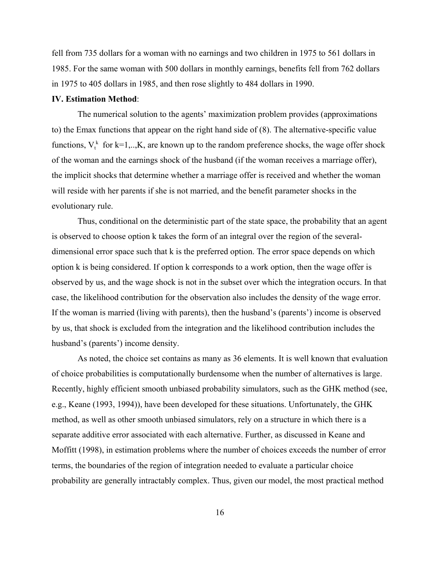fell from 735 dollars for a woman with no earnings and two children in 1975 to 561 dollars in 1985. For the same woman with 500 dollars in monthly earnings, benefits fell from 762 dollars in 1975 to 405 dollars in 1985, and then rose slightly to 484 dollars in 1990.

#### **IV. Estimation Method**:

The numerical solution to the agents' maximization problem provides (approximations to) the Emax functions that appear on the right hand side of (8). The alternative-specific value functions,  $V_t^k$  for k=1,..,K, are known up to the random preference shocks, the wage offer shock of the woman and the earnings shock of the husband (if the woman receives a marriage offer), the implicit shocks that determine whether a marriage offer is received and whether the woman will reside with her parents if she is not married, and the benefit parameter shocks in the evolutionary rule.

Thus, conditional on the deterministic part of the state space, the probability that an agent is observed to choose option k takes the form of an integral over the region of the severaldimensional error space such that k is the preferred option. The error space depends on which option k is being considered. If option k corresponds to a work option, then the wage offer is observed by us, and the wage shock is not in the subset over which the integration occurs. In that case, the likelihood contribution for the observation also includes the density of the wage error. If the woman is married (living with parents), then the husband's (parents') income is observed by us, that shock is excluded from the integration and the likelihood contribution includes the husband's (parents') income density.

As noted, the choice set contains as many as 36 elements. It is well known that evaluation of choice probabilities is computationally burdensome when the number of alternatives is large. Recently, highly efficient smooth unbiased probability simulators, such as the GHK method (see, e.g., Keane (1993, 1994)), have been developed for these situations. Unfortunately, the GHK method, as well as other smooth unbiased simulators, rely on a structure in which there is a separate additive error associated with each alternative. Further, as discussed in Keane and Moffitt (1998), in estimation problems where the number of choices exceeds the number of error terms, the boundaries of the region of integration needed to evaluate a particular choice probability are generally intractably complex. Thus, given our model, the most practical method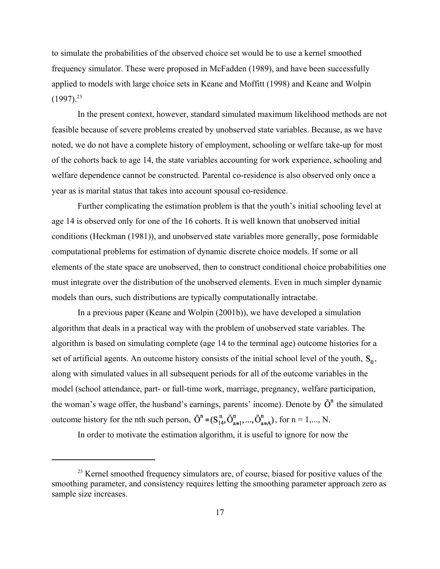to simulate the probabilities of the observed choice set would be to use a kernel smoothed frequency simulator. These were proposed in McFadden (1989), and have been successfully applied to models with large choice sets in Keane and Moffitt (1998) and Keane and Wolpin  $(1997).^{23}$ 

In the present context, however, standard simulated maximum likelihood methods are not feasible because of severe problems created by unobserved state variables. Because, as we have noted, we do not have a complete history of employment, schooling or welfare take-up for most of the cohorts back to age 14, the state variables accounting for work experience, schooling and welfare dependence cannot be constructed. Parental co-residence is also observed only once a year as is marital status that takes into account spousal co-residence.

Further complicating the estimation problem is that the youth's initial schooling level at age 14 is observed only for one of the 16 cohorts. It is well known that unobserved initial conditions (Heckman (1981)), and unobserved state variables more generally, pose formidable computational problems for estimation of dynamic discrete choice models. If some or all elements of the state space are unobserved, then to construct conditional choice probabilities one must integrate over the distribution of the unobserved elements. Even in much simpler dynamic models than ours, such distributions are typically computationally intractabe.

In a previous paper (Keane and Wolpin (2001b)), we have developed a simulation algorithm that deals in a practical way with the problem of unobserved state variables. The algorithm is based on simulating complete (age 14 to the terminal age) outcome histories for a set of artificial agents. An outcome history consists of the initial school level of the youth,  $S_0$ , along with simulated values in all subsequent periods for all of the outcome variables in the model (school attendance, part- or full-time work, marriage, pregnancy, welfare participation, the woman's wage offer, the husband's earnings, parents' income). Denote by  $\tilde{O}^n$  the simulated outcome history for the nth such person,  $\tilde{O}^n = (S_{14}^n, \tilde{O}_{a=1}^n, ..., \tilde{O}_{a=A}^n)$ , for  $n = 1,..., N$ .

In order to motivate the estimation algorithm, it is useful to ignore for now the

<sup>&</sup>lt;sup>23</sup> Kernel smoothed frequency simulators are, of course, biased for positive values of the smoothing parameter, and consistency requires letting the smoothing parameter approach zero as sample size increases.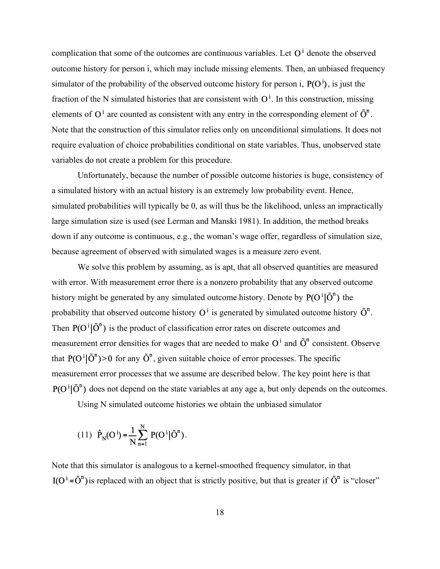complication that some of the outcomes are continuous variables. Let  $O<sup>i</sup>$  denote the observed outcome history for person i, which may include missing elements. Then, an unbiased frequency simulator of the probability of the observed outcome history for person i.  $P(O^i)$ , is just the fraction of the N simulated histories that are consistent with  $O^i$ . In this construction, missing elements of  $O^i$  are counted as consistent with any entry in the corresponding element of  $\tilde{O}^n$ . Note that the construction of this simulator relies only on unconditional simulations. It does not require evaluation of choice probabilities conditional on state variables. Thus, unobserved state variables do not create a problem for this procedure.

Unfortunately, because the number of possible outcome histories is huge, consistency of a simulated history with an actual history is an extremely low probability event. Hence, simulated probabilities will typically be 0, as will thus be the likelihood, unless an impractically large simulation size is used (see Lerman and Manski 1981). In addition, the method breaks down if any outcome is continuous, e.g., the woman's wage offer, regardless of simulation size, because agreement of observed with simulated wages is a measure zero event.

We solve this problem by assuming, as is apt, that all observed quantities are measured with error. With measurement error there is a nonzero probability that any observed outcome history might be generated by any simulated outcome history. Denote by  $P(O^i | \tilde{O}^n)$  the probability that observed outcome history  $O^i$  is generated by simulated outcome history  $\tilde{O}^n$ . Then  $P(O^i | \tilde{O}^n)$  is the product of classification error rates on discrete outcomes and measurement error densities for wages that are needed to make  $O^i$  and  $\tilde{O}^n$  consistent. Observe that  $P(O^i | \tilde{O}^n) > 0$  for any  $\tilde{O}^n$ , given suitable choice of error processes. The specific measurement error processes that we assume are described below. The key point here is that  $P(O^i | \tilde{O}^n)$  does not depend on the state variables at any age a, but only depends on the outcomes. Using N simulated outcome histories we obtain the unbiased simulator

(11) 
$$
\hat{P}_N(O^i) = \frac{1}{N} \sum_{n=1}^{N} P(O^i | \tilde{O}^n)
$$
.

Note that this simulator is analogous to a kernel-smoothed frequency simulator, in that  $I(O^i = \tilde{O}^n)$  is replaced with an object that is strictly positive, but that is greater if  $\tilde{O}^n$  is "closer"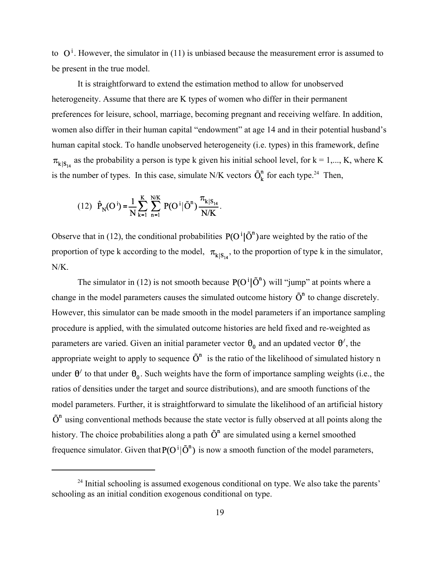to  $O^i$ . However, the simulator in (11) is unbiased because the measurement error is assumed to be present in the true model.

It is straightforward to extend the estimation method to allow for unobserved heterogeneity. Assume that there are K types of women who differ in their permanent preferences for leisure, school, marriage, becoming pregnant and receiving welfare. In addition, women also differ in their human capital "endowment" at age 14 and in their potential husband's human capital stock. To handle unobserved heterogeneity (i.e. types) in this framework, define  $\pi_{k|S_{14}}$  as the probability a person is type k given his initial school level, for  $k = 1,..., K$ , where K is the number of types. In this case, simulate N/K vectors  $\tilde{O}_k^n$  for each type.<sup>24</sup> Then,

(12) 
$$
\hat{P}_N(O^i) = \frac{1}{N} \sum_{k=1}^K \sum_{n=1}^{N/K} P(O^i | \tilde{O}^n) \frac{\pi_{k|S_{14}}}{N/K}
$$
.

Observe that in (12), the conditional probabilities  $P(O^i | \tilde{O}^n)$  are weighted by the ratio of the proportion of type k according to the model,  $\pi_{k|S_{14}}$ , to the proportion of type k in the simulator, N/K.

The simulator in (12) is not smooth because  $P(O^i | \tilde{O}^n)$  will "jump" at points where a change in the model parameters causes the simulated outcome history  $\tilde{O}^n$  to change discretely. However, this simulator can be made smooth in the model parameters if an importance sampling procedure is applied, with the simulated outcome histories are held fixed and re-weighted as parameters are varied. Given an initial parameter vector  $\theta_0$  and an updated vector  $\theta'$ , the appropriate weight to apply to sequence  $\tilde{O}^n$  is the ratio of the likelihood of simulated history n under  $\theta'$  to that under  $\theta_0$ . Such weights have the form of importance sampling weights (i.e., the ratios of densities under the target and source distributions), and are smooth functions of the model parameters. Further, it is straightforward to simulate the likelihood of an artificial history  $\tilde{O}^n$  using conventional methods because the state vector is fully observed at all points along the history. The choice probabilities along a path  $\tilde{O}^n$  are simulated using a kernel smoothed frequence simulator. Given that  $P(O^i | \tilde{O}^n)$  is now a smooth function of the model parameters,

 $24$  Initial schooling is assumed exogenous conditional on type. We also take the parents' schooling as an initial condition exogenous conditional on type.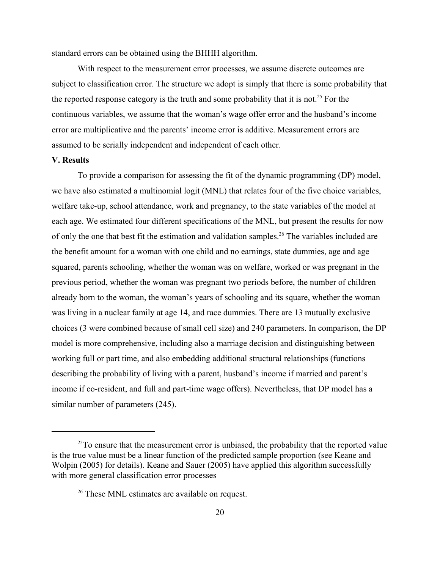standard errors can be obtained using the BHHH algorithm.

With respect to the measurement error processes, we assume discrete outcomes are subject to classification error. The structure we adopt is simply that there is some probability that the reported response category is the truth and some probability that it is not.<sup>25</sup> For the continuous variables, we assume that the woman's wage offer error and the husband's income error are multiplicative and the parents' income error is additive. Measurement errors are assumed to be serially independent and independent of each other.

#### **V. Results**

To provide a comparison for assessing the fit of the dynamic programming (DP) model, we have also estimated a multinomial logit (MNL) that relates four of the five choice variables, welfare take-up, school attendance, work and pregnancy, to the state variables of the model at each age. We estimated four different specifications of the MNL, but present the results for now of only the one that best fit the estimation and validation samples.<sup>26</sup> The variables included are the benefit amount for a woman with one child and no earnings, state dummies, age and age squared, parents schooling, whether the woman was on welfare, worked or was pregnant in the previous period, whether the woman was pregnant two periods before, the number of children already born to the woman, the woman's years of schooling and its square, whether the woman was living in a nuclear family at age 14, and race dummies. There are 13 mutually exclusive choices (3 were combined because of small cell size) and 240 parameters. In comparison, the DP model is more comprehensive, including also a marriage decision and distinguishing between working full or part time, and also embedding additional structural relationships (functions describing the probability of living with a parent, husband's income if married and parent's income if co-resident, and full and part-time wage offers). Nevertheless, that DP model has a similar number of parameters (245).

 $25T<sub>25</sub>$  consure that the measurement error is unbiased, the probability that the reported value is the true value must be a linear function of the predicted sample proportion (see Keane and Wolpin (2005) for details). Keane and Sauer (2005) have applied this algorithm successfully with more general classification error processes

<sup>&</sup>lt;sup>26</sup> These MNL estimates are available on request.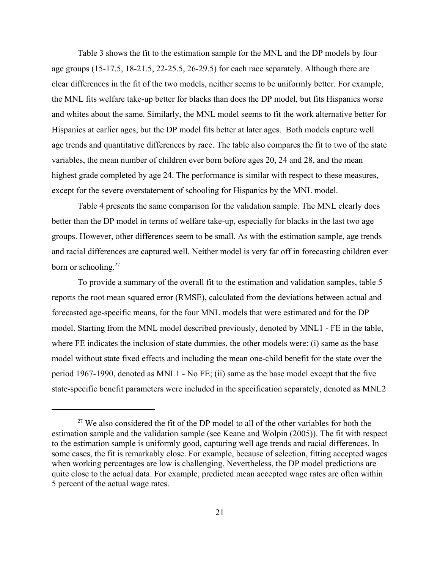Table 3 shows the fit to the estimation sample for the MNL and the DP models by four age groups (15-17.5, 18-21.5, 22-25.5, 26-29.5) for each race separately. Although there are clear differences in the fit of the two models, neither seems to be uniformly better. For example, the MNL fits welfare take-up better for blacks than does the DP model, but fits Hispanics worse and whites about the same. Similarly, the MNL model seems to fit the work alternative better for Hispanics at earlier ages, but the DP model fits better at later ages. Both models capture well age trends and quantitative differences by race. The table also compares the fit to two of the state variables, the mean number of children ever born before ages 20, 24 and 28, and the mean highest grade completed by age 24. The performance is similar with respect to these measures, except for the severe overstatement of schooling for Hispanics by the MNL model.

Table 4 presents the same comparison for the validation sample. The MNL clearly does better than the DP model in terms of welfare take-up, especially for blacks in the last two age groups. However, other differences seem to be small. As with the estimation sample, age trends and racial differences are captured well. Neither model is very far off in forecasting children ever born or schooling.<sup>27</sup>

To provide a summary of the overall fit to the estimation and validation samples, table 5 reports the root mean squared error (RMSE), calculated from the deviations between actual and forecasted age-specific means, for the four MNL models that were estimated and for the DP model. Starting from the MNL model described previously, denoted by MNL1 - FE in the table, where FE indicates the inclusion of state dummies, the other models were: (i) same as the base model without state fixed effects and including the mean one-child benefit for the state over the period 1967-1990, denoted as MNL1 - No FE; (ii) same as the base model except that the five state-specific benefit parameters were included in the specification separately, denoted as MNL2

 $27$  We also considered the fit of the DP model to all of the other variables for both the estimation sample and the validation sample (see Keane and Wolpin (2005)). The fit with respect to the estimation sample is uniformly good, capturing well age trends and racial differences. In some cases, the fit is remarkably close. For example, because of selection, fitting accepted wages when working percentages are low is challenging. Nevertheless, the DP model predictions are quite close to the actual data. For example, predicted mean accepted wage rates are often within 5 percent of the actual wage rates.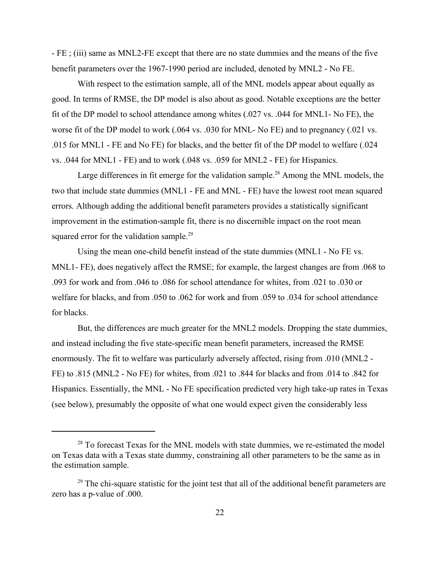- FE ; (iii) same as MNL2-FE except that there are no state dummies and the means of the five benefit parameters over the 1967-1990 period are included, denoted by MNL2 - No FE.

With respect to the estimation sample, all of the MNL models appear about equally as good. In terms of RMSE, the DP model is also about as good. Notable exceptions are the better fit of the DP model to school attendance among whites (.027 vs. .044 for MNL1- No FE), the worse fit of the DP model to work (.064 vs. .030 for MNL- No FE) and to pregnancy (.021 vs. .015 for MNL1 - FE and No FE) for blacks, and the better fit of the DP model to welfare (.024 vs. .044 for MNL1 - FE) and to work (.048 vs. .059 for MNL2 - FE) for Hispanics.

Large differences in fit emerge for the validation sample.<sup>28</sup> Among the MNL models, the two that include state dummies (MNL1 - FE and MNL - FE) have the lowest root mean squared errors. Although adding the additional benefit parameters provides a statistically significant improvement in the estimation-sample fit, there is no discernible impact on the root mean squared error for the validation sample.<sup>29</sup>

Using the mean one-child benefit instead of the state dummies (MNL1 - No FE vs. MNL1- FE), does negatively affect the RMSE; for example, the largest changes are from .068 to .093 for work and from .046 to .086 for school attendance for whites, from .021 to .030 or welfare for blacks, and from .050 to .062 for work and from .059 to .034 for school attendance for blacks.

But, the differences are much greater for the MNL2 models. Dropping the state dummies, and instead including the five state-specific mean benefit parameters, increased the RMSE enormously. The fit to welfare was particularly adversely affected, rising from .010 (MNL2 - FE) to .815 (MNL2 - No FE) for whites, from .021 to .844 for blacks and from .014 to .842 for Hispanics. Essentially, the MNL - No FE specification predicted very high take-up rates in Texas (see below), presumably the opposite of what one would expect given the considerably less

<sup>&</sup>lt;sup>28</sup> To forecast Texas for the MNL models with state dummies, we re-estimated the model on Texas data with a Texas state dummy, constraining all other parameters to be the same as in the estimation sample.

 $29$  The chi-square statistic for the joint test that all of the additional benefit parameters are zero has a p-value of .000.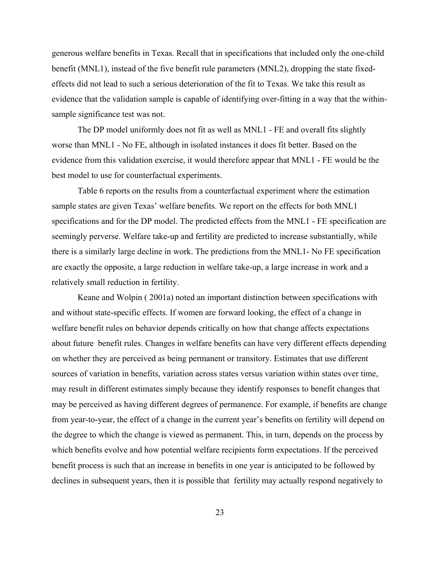generous welfare benefits in Texas. Recall that in specifications that included only the one-child benefit (MNL1), instead of the five benefit rule parameters (MNL2), dropping the state fixedeffects did not lead to such a serious deterioration of the fit to Texas. We take this result as evidence that the validation sample is capable of identifying over-fitting in a way that the withinsample significance test was not.

The DP model uniformly does not fit as well as MNL1 - FE and overall fits slightly worse than MNL1 - No FE, although in isolated instances it does fit better. Based on the evidence from this validation exercise, it would therefore appear that MNL1 - FE would be the best model to use for counterfactual experiments.

Table 6 reports on the results from a counterfactual experiment where the estimation sample states are given Texas' welfare benefits. We report on the effects for both MNL1 specifications and for the DP model. The predicted effects from the MNL1 - FE specification are seemingly perverse. Welfare take-up and fertility are predicted to increase substantially, while there is a similarly large decline in work. The predictions from the MNL1- No FE specification are exactly the opposite, a large reduction in welfare take-up, a large increase in work and a relatively small reduction in fertility.

Keane and Wolpin ( 2001a) noted an important distinction between specifications with and without state-specific effects. If women are forward looking, the effect of a change in welfare benefit rules on behavior depends critically on how that change affects expectations about future benefit rules. Changes in welfare benefits can have very different effects depending on whether they are perceived as being permanent or transitory. Estimates that use different sources of variation in benefits, variation across states versus variation within states over time, may result in different estimates simply because they identify responses to benefit changes that may be perceived as having different degrees of permanence. For example, if benefits are change from year-to-year, the effect of a change in the current year's benefits on fertility will depend on the degree to which the change is viewed as permanent. This, in turn, depends on the process by which benefits evolve and how potential welfare recipients form expectations. If the perceived benefit process is such that an increase in benefits in one year is anticipated to be followed by declines in subsequent years, then it is possible that fertility may actually respond negatively to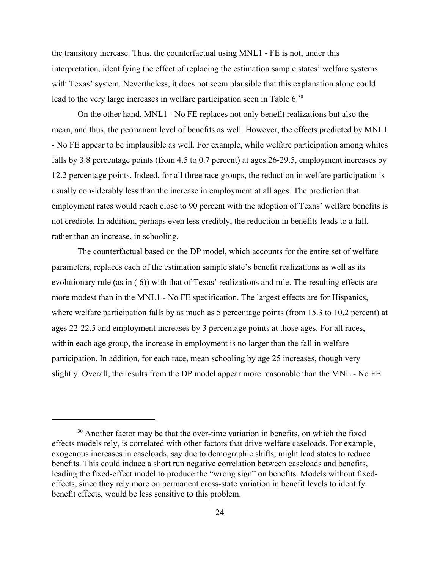the transitory increase. Thus, the counterfactual using MNL1 - FE is not, under this interpretation, identifying the effect of replacing the estimation sample states' welfare systems with Texas' system. Nevertheless, it does not seem plausible that this explanation alone could lead to the very large increases in welfare participation seen in Table 6.<sup>30</sup>

On the other hand, MNL1 - No FE replaces not only benefit realizations but also the mean, and thus, the permanent level of benefits as well. However, the effects predicted by MNL1 - No FE appear to be implausible as well. For example, while welfare participation among whites falls by 3.8 percentage points (from 4.5 to 0.7 percent) at ages 26-29.5, employment increases by 12.2 percentage points. Indeed, for all three race groups, the reduction in welfare participation is usually considerably less than the increase in employment at all ages. The prediction that employment rates would reach close to 90 percent with the adoption of Texas' welfare benefits is not credible. In addition, perhaps even less credibly, the reduction in benefits leads to a fall, rather than an increase, in schooling.

The counterfactual based on the DP model, which accounts for the entire set of welfare parameters, replaces each of the estimation sample state's benefit realizations as well as its evolutionary rule (as in ( 6)) with that of Texas' realizations and rule. The resulting effects are more modest than in the MNL1 - No FE specification. The largest effects are for Hispanics, where welfare participation falls by as much as 5 percentage points (from 15.3 to 10.2 percent) at ages 22-22.5 and employment increases by 3 percentage points at those ages. For all races, within each age group, the increase in employment is no larger than the fall in welfare participation. In addition, for each race, mean schooling by age 25 increases, though very slightly. Overall, the results from the DP model appear more reasonable than the MNL - No FE

 $30$  Another factor may be that the over-time variation in benefits, on which the fixed effects models rely, is correlated with other factors that drive welfare caseloads. For example, exogenous increases in caseloads, say due to demographic shifts, might lead states to reduce benefits. This could induce a short run negative correlation between caseloads and benefits, leading the fixed-effect model to produce the "wrong sign" on benefits. Models without fixedeffects, since they rely more on permanent cross-state variation in benefit levels to identify benefit effects, would be less sensitive to this problem.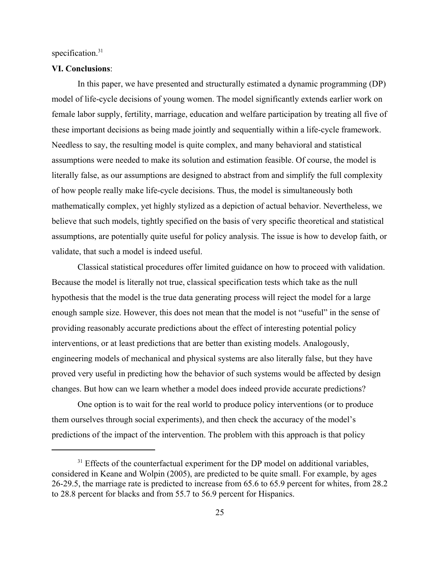specification.<sup>31</sup>

#### **VI. Conclusions**:

In this paper, we have presented and structurally estimated a dynamic programming (DP) model of life-cycle decisions of young women. The model significantly extends earlier work on female labor supply, fertility, marriage, education and welfare participation by treating all five of these important decisions as being made jointly and sequentially within a life-cycle framework. Needless to say, the resulting model is quite complex, and many behavioral and statistical assumptions were needed to make its solution and estimation feasible. Of course, the model is literally false, as our assumptions are designed to abstract from and simplify the full complexity of how people really make life-cycle decisions. Thus, the model is simultaneously both mathematically complex, yet highly stylized as a depiction of actual behavior. Nevertheless, we believe that such models, tightly specified on the basis of very specific theoretical and statistical assumptions, are potentially quite useful for policy analysis. The issue is how to develop faith, or validate, that such a model is indeed useful.

Classical statistical procedures offer limited guidance on how to proceed with validation. Because the model is literally not true, classical specification tests which take as the null hypothesis that the model is the true data generating process will reject the model for a large enough sample size. However, this does not mean that the model is not "useful" in the sense of providing reasonably accurate predictions about the effect of interesting potential policy interventions, or at least predictions that are better than existing models. Analogously, engineering models of mechanical and physical systems are also literally false, but they have proved very useful in predicting how the behavior of such systems would be affected by design changes. But how can we learn whether a model does indeed provide accurate predictions?

One option is to wait for the real world to produce policy interventions (or to produce them ourselves through social experiments), and then check the accuracy of the model's predictions of the impact of the intervention. The problem with this approach is that policy

 $31$  Effects of the counterfactual experiment for the DP model on additional variables, considered in Keane and Wolpin (2005), are predicted to be quite small. For example, by ages 26-29.5, the marriage rate is predicted to increase from 65.6 to 65.9 percent for whites, from 28.2 to 28.8 percent for blacks and from 55.7 to 56.9 percent for Hispanics.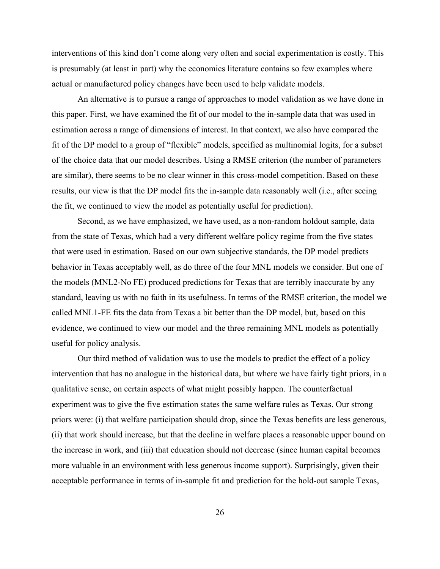interventions of this kind don't come along very often and social experimentation is costly. This is presumably (at least in part) why the economics literature contains so few examples where actual or manufactured policy changes have been used to help validate models.

An alternative is to pursue a range of approaches to model validation as we have done in this paper. First, we have examined the fit of our model to the in-sample data that was used in estimation across a range of dimensions of interest. In that context, we also have compared the fit of the DP model to a group of "flexible" models, specified as multinomial logits, for a subset of the choice data that our model describes. Using a RMSE criterion (the number of parameters are similar), there seems to be no clear winner in this cross-model competition. Based on these results, our view is that the DP model fits the in-sample data reasonably well (i.e., after seeing the fit, we continued to view the model as potentially useful for prediction).

Second, as we have emphasized, we have used, as a non-random holdout sample, data from the state of Texas, which had a very different welfare policy regime from the five states that were used in estimation. Based on our own subjective standards, the DP model predicts behavior in Texas acceptably well, as do three of the four MNL models we consider. But one of the models (MNL2-No FE) produced predictions for Texas that are terribly inaccurate by any standard, leaving us with no faith in its usefulness. In terms of the RMSE criterion, the model we called MNL1-FE fits the data from Texas a bit better than the DP model, but, based on this evidence, we continued to view our model and the three remaining MNL models as potentially useful for policy analysis.

Our third method of validation was to use the models to predict the effect of a policy intervention that has no analogue in the historical data, but where we have fairly tight priors, in a qualitative sense, on certain aspects of what might possibly happen. The counterfactual experiment was to give the five estimation states the same welfare rules as Texas. Our strong priors were: (i) that welfare participation should drop, since the Texas benefits are less generous, (ii) that work should increase, but that the decline in welfare places a reasonable upper bound on the increase in work, and (iii) that education should not decrease (since human capital becomes more valuable in an environment with less generous income support). Surprisingly, given their acceptable performance in terms of in-sample fit and prediction for the hold-out sample Texas,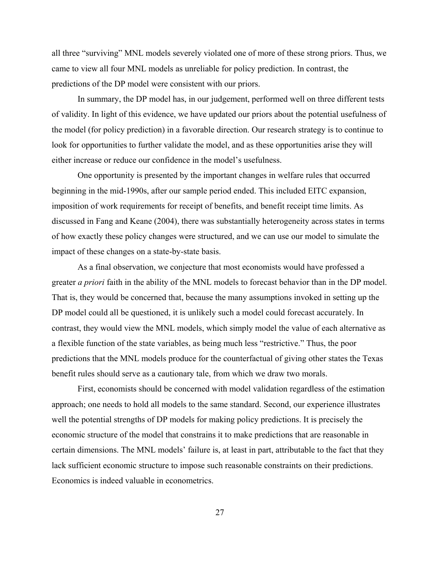all three "surviving" MNL models severely violated one of more of these strong priors. Thus, we came to view all four MNL models as unreliable for policy prediction. In contrast, the predictions of the DP model were consistent with our priors.

In summary, the DP model has, in our judgement, performed well on three different tests of validity. In light of this evidence, we have updated our priors about the potential usefulness of the model (for policy prediction) in a favorable direction. Our research strategy is to continue to look for opportunities to further validate the model, and as these opportunities arise they will either increase or reduce our confidence in the model's usefulness.

One opportunity is presented by the important changes in welfare rules that occurred beginning in the mid-1990s, after our sample period ended. This included EITC expansion, imposition of work requirements for receipt of benefits, and benefit receipt time limits. As discussed in Fang and Keane (2004), there was substantially heterogeneity across states in terms of how exactly these policy changes were structured, and we can use our model to simulate the impact of these changes on a state-by-state basis.

As a final observation, we conjecture that most economists would have professed a greater *a priori* faith in the ability of the MNL models to forecast behavior than in the DP model. That is, they would be concerned that, because the many assumptions invoked in setting up the DP model could all be questioned, it is unlikely such a model could forecast accurately. In contrast, they would view the MNL models, which simply model the value of each alternative as a flexible function of the state variables, as being much less "restrictive." Thus, the poor predictions that the MNL models produce for the counterfactual of giving other states the Texas benefit rules should serve as a cautionary tale, from which we draw two morals.

First, economists should be concerned with model validation regardless of the estimation approach; one needs to hold all models to the same standard. Second, our experience illustrates well the potential strengths of DP models for making policy predictions. It is precisely the economic structure of the model that constrains it to make predictions that are reasonable in certain dimensions. The MNL models' failure is, at least in part, attributable to the fact that they lack sufficient economic structure to impose such reasonable constraints on their predictions. Economics is indeed valuable in econometrics.

27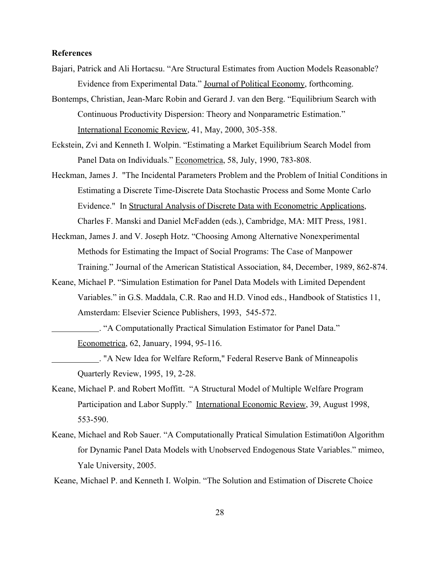#### **References**

- Bajari, Patrick and Ali Hortacsu. "Are Structural Estimates from Auction Models Reasonable? Evidence from Experimental Data." Journal of Political Economy, forthcoming.
- Bontemps, Christian, Jean-Marc Robin and Gerard J. van den Berg. "Equilibrium Search with Continuous Productivity Dispersion: Theory and Nonparametric Estimation." International Economic Review, 41, May, 2000, 305-358.
- Eckstein, Zvi and Kenneth I. Wolpin. "Estimating a Market Equilibrium Search Model from Panel Data on Individuals." Econometrica, 58, July, 1990, 783-808.
- Heckman, James J. "The Incidental Parameters Problem and the Problem of Initial Conditions in Estimating a Discrete Time-Discrete Data Stochastic Process and Some Monte Carlo Evidence." In Structural Analysis of Discrete Data with Econometric Applications, Charles F. Manski and Daniel McFadden (eds.), Cambridge, MA: MIT Press, 1981.
- Heckman, James J. and V. Joseph Hotz. "Choosing Among Alternative Nonexperimental Methods for Estimating the Impact of Social Programs: The Case of Manpower Training." Journal of the American Statistical Association, 84, December, 1989, 862-874.
- Keane, Michael P. "Simulation Estimation for Panel Data Models with Limited Dependent Variables." in G.S. Maddala, C.R. Rao and H.D. Vinod eds., Handbook of Statistics 11, Amsterdam: Elsevier Science Publishers, 1993, 545-572.

. "A Computationally Practical Simulation Estimator for Panel Data." Econometrica, 62, January, 1994, 95-116.

. "A New Idea for Welfare Reform," Federal Reserve Bank of Minneapolis Quarterly Review, 1995, 19, 2-28.

- Keane, Michael P. and Robert Moffitt. "A Structural Model of Multiple Welfare Program Participation and Labor Supply." International Economic Review, 39, August 1998, 553-590.
- Keane, Michael and Rob Sauer. "A Computationally Pratical Simulation Estimati0on Algorithm for Dynamic Panel Data Models with Unobserved Endogenous State Variables." mimeo, Yale University, 2005.

Keane, Michael P. and Kenneth I. Wolpin. "The Solution and Estimation of Discrete Choice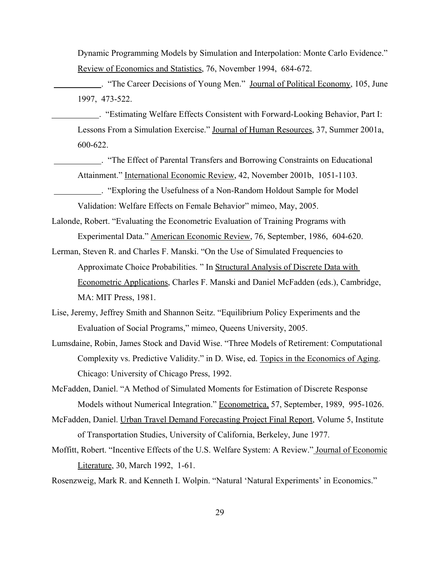Dynamic Programming Models by Simulation and Interpolation: Monte Carlo Evidence." Review of Economics and Statistics, 76, November 1994, 684-672.

 . "The Career Decisions of Young Men." Journal of Political Economy, 105, June 1997, 473-522.

 . "Estimating Welfare Effects Consistent with Forward-Looking Behavior, Part I: Lessons From a Simulation Exercise." Journal of Human Resources, 37, Summer 2001a, 600-622.

 . "The Effect of Parental Transfers and Borrowing Constraints on Educational Attainment." International Economic Review, 42, November 2001b, 1051-1103.

 . "Exploring the Usefulness of a Non-Random Holdout Sample for Model Validation: Welfare Effects on Female Behavior" mimeo, May, 2005.

Lalonde, Robert. "Evaluating the Econometric Evaluation of Training Programs with Experimental Data." American Economic Review, 76, September, 1986, 604-620.

Lerman, Steven R. and Charles F. Manski. "On the Use of Simulated Frequencies to Approximate Choice Probabilities. " In Structural Analysis of Discrete Data with Econometric Applications, Charles F. Manski and Daniel McFadden (eds.), Cambridge, MA: MIT Press, 1981.

Lise, Jeremy, Jeffrey Smith and Shannon Seitz. "Equilibrium Policy Experiments and the Evaluation of Social Programs," mimeo, Queens University, 2005.

Lumsdaine, Robin, James Stock and David Wise. "Three Models of Retirement: Computational Complexity vs. Predictive Validity." in D. Wise, ed. Topics in the Economics of Aging. Chicago: University of Chicago Press, 1992.

McFadden, Daniel. "A Method of Simulated Moments for Estimation of Discrete Response Models without Numerical Integration." Econometrica, 57, September, 1989, 995-1026.

- McFadden, Daniel. Urban Travel Demand Forecasting Project Final Report, Volume 5, Institute of Transportation Studies, University of California, Berkeley, June 1977.
- Moffitt, Robert. "Incentive Effects of the U.S. Welfare System: A Review." Journal of Economic Literature, 30, March 1992, 1-61.

Rosenzweig, Mark R. and Kenneth I. Wolpin. "Natural 'Natural Experiments' in Economics."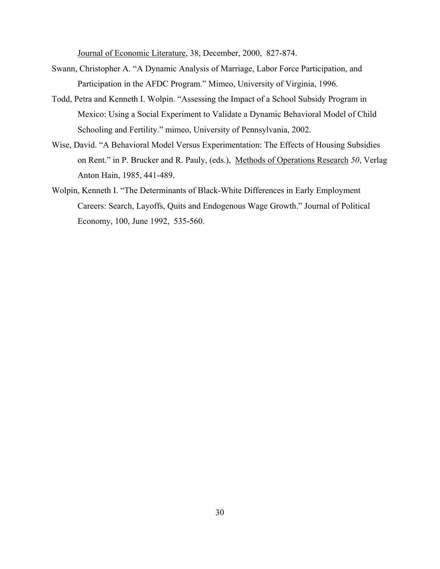Journal of Economic Literature, 38, December, 2000, 827-874.

- Swann, Christopher A. "A Dynamic Analysis of Marriage, Labor Force Participation, and Participation in the AFDC Program." Mimeo, University of Virginia, 1996.
- Todd, Petra and Kenneth I. Wolpin. "Assessing the Impact of a School Subsidy Program in Mexico: Using a Social Experiment to Validate a Dynamic Behavioral Model of Child Schooling and Fertility." mimeo, University of Pennsylvania, 2002.
- Wise, David. "A Behavioral Model Versus Experimentation: The Effects of Housing Subsidies on Rent." in P. Brucker and R. Pauly, (eds.), Methods of Operations Research *50*, Verlag Anton Hain, 1985, 441-489.
- Wolpin, Kenneth I. "The Determinants of Black-White Differences in Early Employment Careers: Search, Layoffs, Quits and Endogenous Wage Growth." Journal of Political Economy, 100, June 1992, 535-560.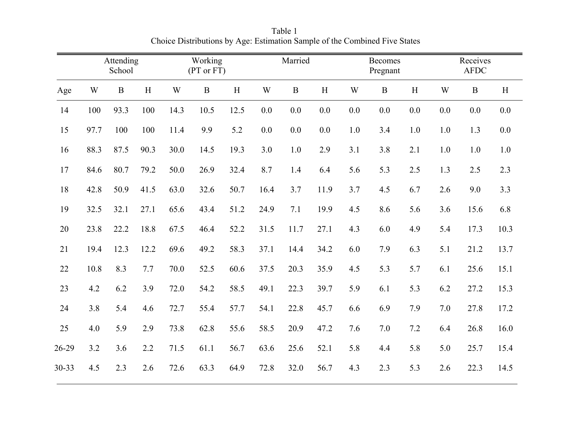|       |      | Attending<br>School |      |      | Working<br>(PT or FT) |      |      | Married     |      |     | <b>Becomes</b><br>Pregnant |     |     | Receives<br><b>AFDC</b> |       |
|-------|------|---------------------|------|------|-----------------------|------|------|-------------|------|-----|----------------------------|-----|-----|-------------------------|-------|
| Age   | W    | $\mathbf{B}$        | H    | W    | $\bf{B}$              | H    | W    | $\mathbf B$ | H    | W   | $\mathbf{B}$               | H   | W   | $\, {\bf B}$            | H     |
| 14    | 100  | 93.3                | 100  | 14.3 | 10.5                  | 12.5 | 0.0  | 0.0         | 0.0  | 0.0 | 0.0                        | 0.0 | 0.0 | 0.0                     | 0.0   |
| 15    | 97.7 | 100                 | 100  | 11.4 | 9.9                   | 5.2  | 0.0  | 0.0         | 0.0  | 1.0 | 3.4                        | 1.0 | 1.0 | 1.3                     | 0.0   |
| 16    | 88.3 | 87.5                | 90.3 | 30.0 | 14.5                  | 19.3 | 3.0  | 1.0         | 2.9  | 3.1 | 3.8                        | 2.1 | 1.0 | 1.0                     | $1.0$ |
| 17    | 84.6 | 80.7                | 79.2 | 50.0 | 26.9                  | 32.4 | 8.7  | 1.4         | 6.4  | 5.6 | 5.3                        | 2.5 | 1.3 | 2.5                     | 2.3   |
| 18    | 42.8 | 50.9                | 41.5 | 63.0 | 32.6                  | 50.7 | 16.4 | 3.7         | 11.9 | 3.7 | 4.5                        | 6.7 | 2.6 | 9.0                     | 3.3   |
| 19    | 32.5 | 32.1                | 27.1 | 65.6 | 43.4                  | 51.2 | 24.9 | 7.1         | 19.9 | 4.5 | 8.6                        | 5.6 | 3.6 | 15.6                    | 6.8   |
| 20    | 23.8 | 22.2                | 18.8 | 67.5 | 46.4                  | 52.2 | 31.5 | 11.7        | 27.1 | 4.3 | 6.0                        | 4.9 | 5.4 | 17.3                    | 10.3  |
| 21    | 19.4 | 12.3                | 12.2 | 69.6 | 49.2                  | 58.3 | 37.1 | 14.4        | 34.2 | 6.0 | 7.9                        | 6.3 | 5.1 | 21.2                    | 13.7  |
| 22    | 10.8 | 8.3                 | 7.7  | 70.0 | 52.5                  | 60.6 | 37.5 | 20.3        | 35.9 | 4.5 | 5.3                        | 5.7 | 6.1 | 25.6                    | 15.1  |
| 23    | 4.2  | 6.2                 | 3.9  | 72.0 | 54.2                  | 58.5 | 49.1 | 22.3        | 39.7 | 5.9 | 6.1                        | 5.3 | 6.2 | 27.2                    | 15.3  |
| 24    | 3.8  | 5.4                 | 4.6  | 72.7 | 55.4                  | 57.7 | 54.1 | 22.8        | 45.7 | 6.6 | 6.9                        | 7.9 | 7.0 | 27.8                    | 17.2  |
| 25    | 4.0  | 5.9                 | 2.9  | 73.8 | 62.8                  | 55.6 | 58.5 | 20.9        | 47.2 | 7.6 | 7.0                        | 7.2 | 6.4 | 26.8                    | 16.0  |
| 26-29 | 3.2  | 3.6                 | 2.2  | 71.5 | 61.1                  | 56.7 | 63.6 | 25.6        | 52.1 | 5.8 | 4.4                        | 5.8 | 5.0 | 25.7                    | 15.4  |
| 30-33 | 4.5  | 2.3                 | 2.6  | 72.6 | 63.3                  | 64.9 | 72.8 | 32.0        | 56.7 | 4.3 | 2.3                        | 5.3 | 2.6 | 22.3                    | 14.5  |

Table 1<br>Choice Distributions by Age: Estimation Sample of the Combined Five States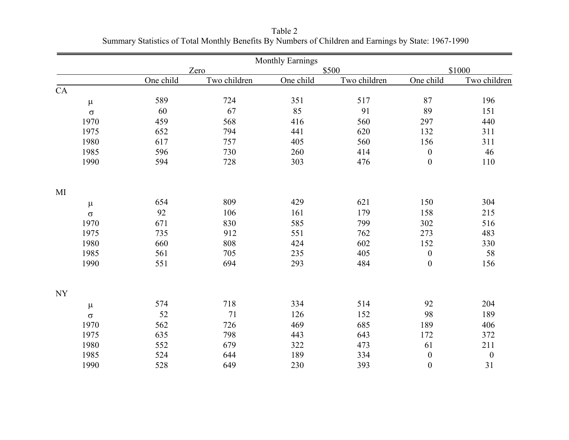|           |           |              | <b>Monthly Earnings</b> |              |                  |                  |
|-----------|-----------|--------------|-------------------------|--------------|------------------|------------------|
|           |           | Zero         |                         | \$500        |                  | \$1000           |
|           | One child | Two children | One child               | Two children | One child        | Two children     |
| CA        |           |              |                         |              |                  |                  |
| $\mu$     | 589       | 724          | 351                     | 517          | 87               | 196              |
| $\sigma$  | 60        | 67           | 85                      | 91           | 89               | 151              |
| 1970      | 459       | 568          | 416                     | 560          | 297              | 440              |
| 1975      | 652       | 794          | 441                     | 620          | 132              | 311              |
| 1980      | 617       | 757          | 405                     | 560          | 156              | 311              |
| 1985      | 596       | 730          | 260                     | 414          | $\boldsymbol{0}$ | 46               |
| 1990      | 594       | 728          | 303                     | 476          | $\boldsymbol{0}$ | 110              |
| MI        |           |              |                         |              |                  |                  |
| $\mu$     | 654       | 809          | 429                     | 621          | 150              | 304              |
| $\sigma$  | 92        | 106          | 161                     | 179          | 158              | 215              |
| 1970      | 671       | 830          | 585                     | 799          | 302              | 516              |
| 1975      | 735       | 912          | 551                     | 762          | 273              | 483              |
| 1980      | 660       | 808          | 424                     | 602          | 152              | 330              |
| 1985      | 561       | 705          | 235                     | 405          | $\boldsymbol{0}$ | 58               |
| 1990      | 551       | 694          | 293                     | 484          | $\boldsymbol{0}$ | 156              |
| <b>NY</b> |           |              |                         |              |                  |                  |
| $\mu$     | 574       | 718          | 334                     | 514          | 92               | 204              |
| $\sigma$  | 52        | 71           | 126                     | 152          | 98               | 189              |
| 1970      | 562       | 726          | 469                     | 685          | 189              | 406              |
| 1975      | 635       | 798          | 443                     | 643          | 172              | 372              |
| 1980      | 552       | 679          | 322                     | 473          | 61               | 211              |
| 1985      | 524       | 644          | 189                     | 334          | $\boldsymbol{0}$ | $\boldsymbol{0}$ |
| 1990      | 528       | 649          | 230                     | 393          | $\boldsymbol{0}$ | 31               |

Table 2<br>Summary Statistics of Total Monthly Benefits By Numbers of Children and Earnings by State: 1967-1990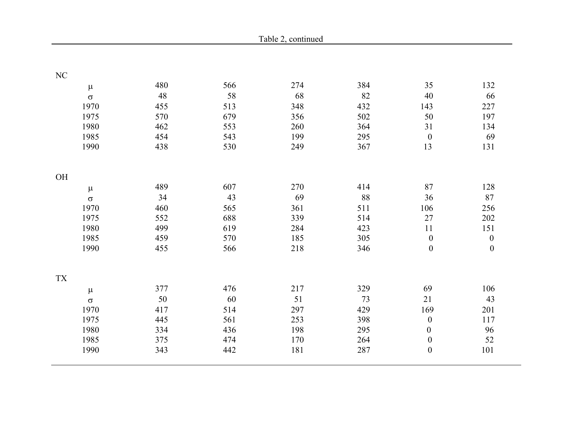|            |             |     | Table 2, continued |        |                  |                  |
|------------|-------------|-----|--------------------|--------|------------------|------------------|
|            |             |     |                    |        |                  |                  |
| $\rm NC$   |             |     |                    |        |                  |                  |
| $\mu$      | 480         | 566 | 274                | 384    | 35               | 132              |
| $\sigma$   | $\sqrt{48}$ | 58  | 68                 | 82     | 40               | 66               |
| 1970       | 455         | 513 | 348                | 432    | 143              | 227              |
| 1975       | 570         | 679 | 356                | 502    | 50               | 197              |
| 1980       | 462         | 553 | 260                | 364    | 31               | 134              |
| 1985       | 454         | 543 | 199                | 295    | $\boldsymbol{0}$ | 69               |
| 1990       | 438         | 530 | 249                | 367    | 13               | 131              |
| OH         |             |     |                    |        |                  |                  |
| $\mu$      | 489         | 607 | 270                | 414    | 87               | 128              |
| $\sigma$   | 34          | 43  | 69                 | $88\,$ | 36               | 87               |
| 1970       | 460         | 565 | 361                | 511    | 106              | 256              |
| 1975       | 552         | 688 | 339                | 514    | 27               | 202              |
| 1980       | 499         | 619 | 284                | 423    | 11               | 151              |
| 1985       | 459         | 570 | 185                | 305    | $\boldsymbol{0}$ | $\boldsymbol{0}$ |
| 1990       | 455         | 566 | 218                | 346    | $\boldsymbol{0}$ | $\boldsymbol{0}$ |
| ${\rm TX}$ |             |     |                    |        |                  |                  |
| $\mu$      | 377         | 476 | 217                | 329    | 69               | 106              |
| $\sigma$   | $50\,$      | 60  | 51                 | 73     | 21               | 43               |
| 1970       | 417         | 514 | 297                | 429    | 169              | 201              |
| 1975       | 445         | 561 | 253                | 398    | $\boldsymbol{0}$ | 117              |
| 1980       | 334         | 436 | 198                | 295    | $\boldsymbol{0}$ | 96               |
| 1985       | 375         | 474 | 170                | 264    | $\boldsymbol{0}$ | 52               |
| 1990       | 343         | 442 | 181                | 287    | $\boldsymbol{0}$ | 101              |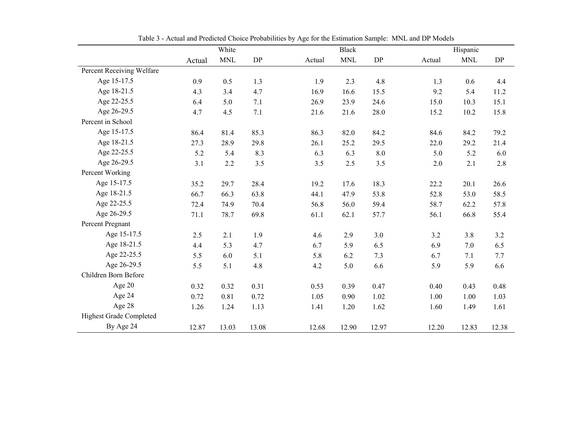|                                | White  |            |         |        | <b>Black</b> |       |        | Hispanic   |           |  |
|--------------------------------|--------|------------|---------|--------|--------------|-------|--------|------------|-----------|--|
|                                | Actual | <b>MNL</b> | DP      | Actual | <b>MNL</b>   | DP    | Actual | <b>MNL</b> | <b>DP</b> |  |
| Percent Receiving Welfare      |        |            |         |        |              |       |        |            |           |  |
| Age 15-17.5                    | 0.9    | 0.5        | 1.3     | 1.9    | 2.3          | 4.8   | 1.3    | 0.6        | 4.4       |  |
| Age 18-21.5                    | 4.3    | 3.4        | 4.7     | 16.9   | 16.6         | 15.5  | 9.2    | 5.4        | 11.2      |  |
| Age 22-25.5                    | 6.4    | 5.0        | 7.1     | 26.9   | 23.9         | 24.6  | 15.0   | 10.3       | 15.1      |  |
| Age 26-29.5                    | 4.7    | 4.5        | $7.1\,$ | 21.6   | 21.6         | 28.0  | 15.2   | 10.2       | 15.8      |  |
| Percent in School              |        |            |         |        |              |       |        |            |           |  |
| Age 15-17.5                    | 86.4   | 81.4       | 85.3    | 86.3   | 82.0         | 84.2  | 84.6   | 84.2       | 79.2      |  |
| Age 18-21.5                    | 27.3   | 28.9       | 29.8    | 26.1   | 25.2         | 29.5  | 22.0   | 29.2       | 21.4      |  |
| Age 22-25.5                    | 5.2    | 5.4        | 8.3     | 6.3    | 6.3          | 8.0   | 5.0    | 5.2        | 6.0       |  |
| Age 26-29.5                    | 3.1    | 2.2        | 3.5     | 3.5    | 2.5          | 3.5   | 2.0    | 2.1        | 2.8       |  |
| Percent Working                |        |            |         |        |              |       |        |            |           |  |
| Age 15-17.5                    | 35.2   | 29.7       | 28.4    | 19.2   | 17.6         | 18.3  | 22.2   | 20.1       | 26.6      |  |
| Age 18-21.5                    | 66.7   | 66.3       | 63.8    | 44.1   | 47.9         | 53.8  | 52.8   | 53.0       | 58.5      |  |
| Age 22-25.5                    | 72.4   | 74.9       | 70.4    | 56.8   | 56.0         | 59.4  | 58.7   | 62.2       | 57.8      |  |
| Age 26-29.5                    | 71.1   | 78.7       | 69.8    | 61.1   | 62.1         | 57.7  | 56.1   | 66.8       | 55.4      |  |
| Percent Pregnant               |        |            |         |        |              |       |        |            |           |  |
| Age 15-17.5                    | 2.5    | 2.1        | 1.9     | 4.6    | 2.9          | 3.0   | 3.2    | 3.8        | 3.2       |  |
| Age 18-21.5                    | 4.4    | 5.3        | 4.7     | 6.7    | 5.9          | 6.5   | 6.9    | 7.0        | 6.5       |  |
| Age 22-25.5                    | 5.5    | 6.0        | 5.1     | 5.8    | 6.2          | 7.3   | 6.7    | 7.1        | 7.7       |  |
| Age 26-29.5                    | 5.5    | 5.1        | 4.8     | 4.2    | 5.0          | 6.6   | 5.9    | 5.9        | 6.6       |  |
| Children Born Before           |        |            |         |        |              |       |        |            |           |  |
| Age 20                         | 0.32   | 0.32       | 0.31    | 0.53   | 0.39         | 0.47  | 0.40   | 0.43       | 0.48      |  |
| Age 24                         | 0.72   | 0.81       | 0.72    | 1.05   | 0.90         | 1.02  | 1.00   | 1.00       | 1.03      |  |
| Age 28                         | 1.26   | 1.24       | 1.13    | 1.41   | 1.20         | 1.62  | 1.60   | 1.49       | 1.61      |  |
| <b>Highest Grade Completed</b> |        |            |         |        |              |       |        |            |           |  |
| By Age 24                      | 12.87  | 13.03      | 13.08   | 12.68  | 12.90        | 12.97 | 12.20  | 12.83      | 12.38     |  |

Table 3 - Actual and Predicted Choice Probabilities by Age for the Estimation Sample: MNL and DP Models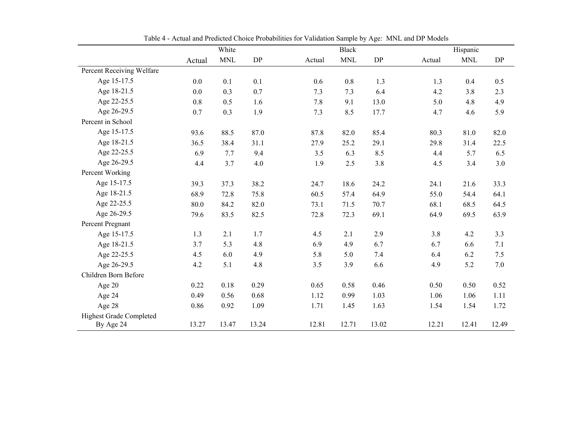|                                |        | White      |           |        | <b>Black</b> |         | Hispanic |            |           |
|--------------------------------|--------|------------|-----------|--------|--------------|---------|----------|------------|-----------|
|                                | Actual | <b>MNL</b> | <b>DP</b> | Actual | <b>MNL</b>   | DP      | Actual   | <b>MNL</b> | <b>DP</b> |
| Percent Receiving Welfare      |        |            |           |        |              |         |          |            |           |
| Age 15-17.5                    | 0.0    | 0.1        | 0.1       | 0.6    | 0.8          | 1.3     | 1.3      | 0.4        | 0.5       |
| Age 18-21.5                    | 0.0    | 0.3        | 0.7       | 7.3    | 7.3          | 6.4     | 4.2      | 3.8        | 2.3       |
| Age 22-25.5                    | 0.8    | 0.5        | 1.6       | 7.8    | 9.1          | 13.0    | 5.0      | 4.8        | 4.9       |
| Age 26-29.5                    | 0.7    | 0.3        | 1.9       | 7.3    | 8.5          | 17.7    | 4.7      | 4.6        | 5.9       |
| Percent in School              |        |            |           |        |              |         |          |            |           |
| Age 15-17.5                    | 93.6   | 88.5       | 87.0      | 87.8   | 82.0         | 85.4    | 80.3     | 81.0       | 82.0      |
| Age 18-21.5                    | 36.5   | 38.4       | 31.1      | 27.9   | 25.2         | 29.1    | 29.8     | 31.4       | 22.5      |
| Age 22-25.5                    | 6.9    | 7.7        | 9.4       | 3.5    | 6.3          | 8.5     | 4.4      | 5.7        | 6.5       |
| Age 26-29.5                    | 4.4    | 3.7        | 4.0       | 1.9    | 2.5          | $3.8\,$ | 4.5      | 3.4        | 3.0       |
| Percent Working                |        |            |           |        |              |         |          |            |           |
| Age 15-17.5                    | 39.3   | 37.3       | 38.2      | 24.7   | 18.6         | 24.2    | 24.1     | 21.6       | 33.3      |
| Age 18-21.5                    | 68.9   | 72.8       | 75.8      | 60.5   | 57.4         | 64.9    | 55.0     | 54.4       | 64.1      |
| Age 22-25.5                    | 80.0   | 84.2       | 82.0      | 73.1   | 71.5         | 70.7    | 68.1     | 68.5       | 64.5      |
| Age 26-29.5                    | 79.6   | 83.5       | 82.5      | 72.8   | 72.3         | 69.1    | 64.9     | 69.5       | 63.9      |
| Percent Pregnant               |        |            |           |        |              |         |          |            |           |
| Age 15-17.5                    | 1.3    | 2.1        | 1.7       | 4.5    | 2.1          | 2.9     | 3.8      | 4.2        | 3.3       |
| Age 18-21.5                    | 3.7    | 5.3        | 4.8       | 6.9    | 4.9          | 6.7     | 6.7      | 6.6        | 7.1       |
| Age 22-25.5                    | 4.5    | 6.0        | 4.9       | 5.8    | 5.0          | 7.4     | 6.4      | 6.2        | 7.5       |
| Age 26-29.5                    | 4.2    | 5.1        | 4.8       | 3.5    | 3.9          | 6.6     | 4.9      | 5.2        | 7.0       |
| Children Born Before           |        |            |           |        |              |         |          |            |           |
| Age 20                         | 0.22   | 0.18       | 0.29      | 0.65   | 0.58         | 0.46    | 0.50     | 0.50       | 0.52      |
| Age 24                         | 0.49   | 0.56       | 0.68      | 1.12   | 0.99         | 1.03    | 1.06     | 1.06       | 1.11      |
| Age 28                         | 0.86   | 0.92       | 1.09      | 1.71   | 1.45         | 1.63    | 1.54     | 1.54       | 1.72      |
| <b>Highest Grade Completed</b> |        |            |           |        |              |         |          |            |           |
| By Age 24                      | 13.27  | 13.47      | 13.24     | 12.81  | 12.71        | 13.02   | 12.21    | 12.41      | 12.49     |

Table 4 - Actual and Predicted Choice Probabilities for Validation Sample by Age: MNL and DP Models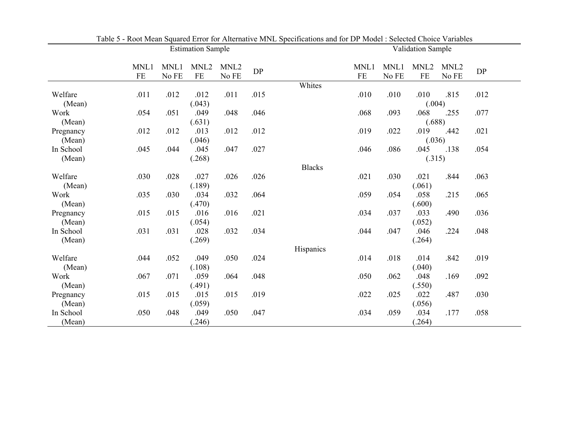|           |      |       | <b>Estimation Sample</b> |                  |            |               | Validation Sample |       |                  |                  |            |  |
|-----------|------|-------|--------------------------|------------------|------------|---------------|-------------------|-------|------------------|------------------|------------|--|
|           | MNL1 | MNL1  | MNL <sub>2</sub>         | MNL <sub>2</sub> | ${\rm DP}$ |               | MNL1              | MNL1  | MNL <sub>2</sub> | MNL <sub>2</sub> | ${\rm DP}$ |  |
|           | FE   | No FE | $FE$                     | No FE            |            |               | FE                | No FE | $\rm FE$         | No FE            |            |  |
|           |      |       |                          |                  |            | Whites        |                   |       |                  |                  |            |  |
| Welfare   | .011 | .012  | .012                     | .011             | .015       |               | .010              | .010  | .010             | .815             | .012       |  |
| (Mean)    |      |       | (.043)                   |                  |            |               |                   |       | (.004)           |                  |            |  |
| Work      | .054 | .051  | .049                     | .048             | .046       |               | .068              | .093  | .068             | .255             | .077       |  |
| (Mean)    |      |       | (.631)                   |                  |            |               |                   |       | (.688)           |                  |            |  |
| Pregnancy | .012 | .012  | .013                     | .012             | .012       |               | .019              | .022  | .019             | .442             | .021       |  |
| (Mean)    |      |       | (.046)                   |                  |            |               |                   |       | (.036)           |                  |            |  |
| In School | .045 | .044  | .045                     | .047             | .027       |               | .046              | .086  | .045             | .138             | .054       |  |
| (Mean)    |      |       | (.268)                   |                  |            |               |                   |       | (.315)           |                  |            |  |
|           |      |       |                          |                  |            | <b>Blacks</b> |                   |       |                  |                  |            |  |
| Welfare   | .030 | .028  | .027                     | .026             | .026       |               | .021              | .030  | .021             | .844             | .063       |  |
| (Mean)    |      |       | (.189)                   |                  |            |               |                   |       | (.061)           |                  |            |  |
| Work      | .035 | .030  | .034                     | .032             | .064       |               | .059              | .054  | .058             | .215             | .065       |  |
| (Mean)    |      |       | (.470)                   |                  |            |               |                   |       | (.600)           |                  |            |  |
| Pregnancy | .015 | .015  | .016                     | .016             | .021       |               | .034              | .037  | .033             | .490             | .036       |  |
| (Mean)    |      |       | (.054)                   |                  |            |               |                   |       | (.052)           |                  |            |  |
| In School | .031 | .031  | .028                     | .032             | .034       |               | .044              | .047  | .046             | .224             | .048       |  |
| (Mean)    |      |       | (.269)                   |                  |            |               |                   |       | (.264)           |                  |            |  |
|           |      |       |                          |                  |            | Hispanics     |                   |       |                  |                  |            |  |
| Welfare   | .044 | .052  | .049                     | .050             | .024       |               | .014              | .018  | .014             | .842             | .019       |  |
| (Mean)    |      |       | (.108)                   |                  |            |               |                   |       | (.040)           |                  |            |  |
| Work      | .067 | .071  | .059                     | .064             | .048       |               | .050              | .062  | .048             | .169             | .092       |  |
| (Mean)    |      |       | (.491)                   |                  |            |               |                   |       | (.550)           |                  |            |  |
| Pregnancy | .015 | .015  | .015                     | .015             | .019       |               | .022              | .025  | .022             | .487             | .030       |  |
| (Mean)    |      |       | (.059)                   |                  |            |               |                   |       | (.056)           |                  |            |  |
| In School | .050 | .048  | .049                     | .050             | .047       |               | .034              | .059  | .034             | .177             | .058       |  |
| (Mean)    |      |       | (.246)                   |                  |            |               |                   |       | (.264)           |                  |            |  |

Table 5 - Root Mean Squared Error for Alternative MNL Specifications and for DP Model : Selected Choice Variables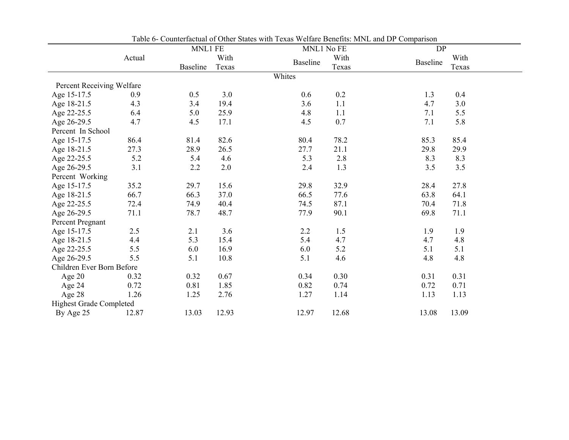|                                |        |                 | Table of Counterfactual of Other Blates with Texas Wellare Denems. Mixt, and DT Comparison |                 |       |                         |
|--------------------------------|--------|-----------------|--------------------------------------------------------------------------------------------|-----------------|-------|-------------------------|
|                                |        | MNL1 FE         |                                                                                            | MNL1 No FE      |       | DP                      |
|                                | Actual |                 | With                                                                                       | <b>Baseline</b> | With  | With<br><b>Baseline</b> |
|                                |        | <b>Baseline</b> | Texas                                                                                      |                 | Texas | Texas                   |
|                                |        |                 |                                                                                            | Whites          |       |                         |
| Percent Receiving Welfare      |        |                 |                                                                                            |                 |       |                         |
| Age 15-17.5                    | 0.9    | 0.5             | 3.0                                                                                        | 0.6             | 0.2   | 1.3<br>0.4              |
| Age 18-21.5                    | 4.3    | 3.4             | 19.4                                                                                       | 3.6             | 1.1   | 4.7<br>3.0              |
| Age 22-25.5                    | 6.4    | 5.0             | 25.9                                                                                       | 4.8             | 1.1   | 7.1<br>5.5              |
| Age 26-29.5                    | 4.7    | 4.5             | 17.1                                                                                       | 4.5             | 0.7   | 7.1<br>5.8              |
| Percent In School              |        |                 |                                                                                            |                 |       |                         |
| Age 15-17.5                    | 86.4   | 81.4            | 82.6                                                                                       | 80.4            | 78.2  | 85.3<br>85.4            |
| Age 18-21.5                    | 27.3   | 28.9            | 26.5                                                                                       | 27.7            | 21.1  | 29.8<br>29.9            |
| Age 22-25.5                    | 5.2    | 5.4             | 4.6                                                                                        | 5.3             | 2.8   | 8.3<br>8.3              |
| Age 26-29.5                    | 3.1    | 2.2             | 2.0                                                                                        | 2.4             | 1.3   | 3.5<br>3.5              |
| Percent Working                |        |                 |                                                                                            |                 |       |                         |
| Age 15-17.5                    | 35.2   | 29.7            | 15.6                                                                                       | 29.8            | 32.9  | 28.4<br>27.8            |
| Age 18-21.5                    | 66.7   | 66.3            | 37.0                                                                                       | 66.5            | 77.6  | 63.8<br>64.1            |
| Age 22-25.5                    | 72.4   | 74.9            | 40.4                                                                                       | 74.5            | 87.1  | 70.4<br>71.8            |
| Age 26-29.5                    | 71.1   | 78.7            | 48.7                                                                                       | 77.9            | 90.1  | 69.8<br>71.1            |
| Percent Pregnant               |        |                 |                                                                                            |                 |       |                         |
| Age 15-17.5                    | 2.5    | 2.1             | 3.6                                                                                        | 2.2             | 1.5   | 1.9<br>1.9              |
| Age 18-21.5                    | 4.4    | 5.3             | 15.4                                                                                       | 5.4             | 4.7   | 4.7<br>4.8              |
| Age 22-25.5                    | 5.5    | 6.0             | 16.9                                                                                       | 6.0             | 5.2   | 5.1<br>5.1              |
| Age 26-29.5                    | 5.5    | 5.1             | 10.8                                                                                       | 5.1             | 4.6   | 4.8<br>4.8              |
| Children Ever Born Before      |        |                 |                                                                                            |                 |       |                         |
| Age 20                         | 0.32   | 0.32            | 0.67                                                                                       | 0.34            | 0.30  | 0.31<br>0.31            |
| Age 24                         | 0.72   | 0.81            | 1.85                                                                                       | 0.82            | 0.74  | 0.72<br>0.71            |
| Age 28                         | 1.26   | 1.25            | 2.76                                                                                       | 1.27            | 1.14  | 1.13<br>1.13            |
| <b>Highest Grade Completed</b> |        |                 |                                                                                            |                 |       |                         |
| By Age 25                      | 12.87  | 13.03           | 12.93                                                                                      | 12.97           | 12.68 | 13.09<br>13.08          |

Table 6- Counterfactual of Other States with Texas Welfare Benefits: MNL and DP Comparison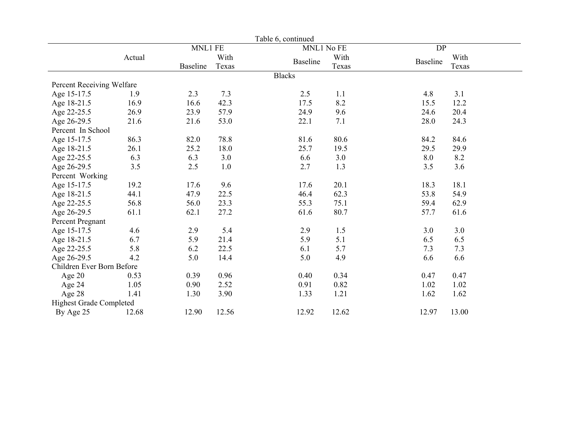|                                |        |                 |         | Table 6, continued |       |                 |       |  |
|--------------------------------|--------|-----------------|---------|--------------------|-------|-----------------|-------|--|
|                                |        | MNL1 FE         |         | MNL1 No FE         |       | DP              |       |  |
|                                | Actual |                 | With    | <b>Baseline</b>    | With  | <b>Baseline</b> | With  |  |
|                                |        | <b>Baseline</b> | Texas   |                    | Texas |                 | Texas |  |
|                                |        |                 |         | <b>Blacks</b>      |       |                 |       |  |
| Percent Receiving Welfare      |        |                 |         |                    |       |                 |       |  |
| Age 15-17.5                    | 1.9    | 2.3             | 7.3     | 2.5                | 1.1   | 4.8             | 3.1   |  |
| Age 18-21.5                    | 16.9   | 16.6            | 42.3    | 17.5               | 8.2   | 15.5            | 12.2  |  |
| Age 22-25.5                    | 26.9   | 23.9            | 57.9    | 24.9               | 9.6   | 24.6            | 20.4  |  |
| Age 26-29.5                    | 21.6   | 21.6            | 53.0    | 22.1               | 7.1   | 28.0            | 24.3  |  |
| Percent In School              |        |                 |         |                    |       |                 |       |  |
| Age 15-17.5                    | 86.3   | 82.0            | 78.8    | 81.6               | 80.6  | 84.2            | 84.6  |  |
| Age 18-21.5                    | 26.1   | 25.2            | 18.0    | 25.7               | 19.5  | 29.5            | 29.9  |  |
| Age 22-25.5                    | 6.3    | 6.3             | 3.0     | 6.6                | 3.0   | 8.0             | 8.2   |  |
| Age 26-29.5                    | 3.5    | 2.5             | $1.0\,$ | 2.7                | 1.3   | 3.5             | 3.6   |  |
| Percent Working                |        |                 |         |                    |       |                 |       |  |
| Age 15-17.5                    | 19.2   | 17.6            | 9.6     | 17.6               | 20.1  | 18.3            | 18.1  |  |
| Age 18-21.5                    | 44.1   | 47.9            | 22.5    | 46.4               | 62.3  | 53.8            | 54.9  |  |
| Age 22-25.5                    | 56.8   | 56.0            | 23.3    | 55.3               | 75.1  | 59.4            | 62.9  |  |
| Age 26-29.5                    | 61.1   | 62.1            | 27.2    | 61.6               | 80.7  | 57.7            | 61.6  |  |
| Percent Pregnant               |        |                 |         |                    |       |                 |       |  |
| Age 15-17.5                    | 4.6    | 2.9             | 5.4     | 2.9                | 1.5   | 3.0             | 3.0   |  |
| Age 18-21.5                    | 6.7    | 5.9             | 21.4    | 5.9                | 5.1   | 6.5             | 6.5   |  |
| Age 22-25.5                    | 5.8    | 6.2             | 22.5    | 6.1                | 5.7   | 7.3             | 7.3   |  |
| Age 26-29.5                    | 4.2    | 5.0             | 14.4    | 5.0                | 4.9   | 6.6             | 6.6   |  |
| Children Ever Born Before      |        |                 |         |                    |       |                 |       |  |
| Age 20                         | 0.53   | 0.39            | 0.96    | 0.40               | 0.34  | 0.47            | 0.47  |  |
| Age 24                         | 1.05   | 0.90            | 2.52    | 0.91               | 0.82  | 1.02            | 1.02  |  |
| Age 28                         | 1.41   | 1.30            | 3.90    | 1.33               | 1.21  | 1.62            | 1.62  |  |
| <b>Highest Grade Completed</b> |        |                 |         |                    |       |                 |       |  |
| By Age 25                      | 12.68  | 12.90           | 12.56   | 12.92              | 12.62 | 12.97           | 13.00 |  |